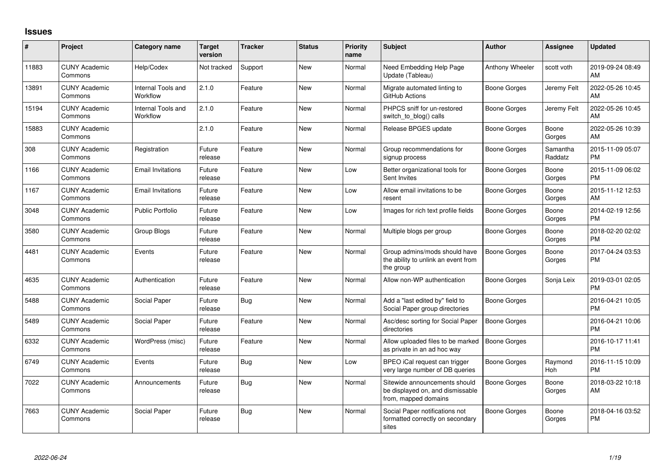## **Issues**

| #     | Project                         | <b>Category name</b>           | <b>Target</b><br>version | <b>Tracker</b> | <b>Status</b> | <b>Priority</b><br>name | <b>Subject</b>                                                                            | <b>Author</b>       | <b>Assignee</b>     | <b>Updated</b>                |
|-------|---------------------------------|--------------------------------|--------------------------|----------------|---------------|-------------------------|-------------------------------------------------------------------------------------------|---------------------|---------------------|-------------------------------|
| 11883 | <b>CUNY Academic</b><br>Commons | Help/Codex                     | Not tracked              | Support        | New           | Normal                  | Need Embedding Help Page<br>Update (Tableau)                                              | Anthony Wheeler     | scott voth          | 2019-09-24 08:49<br>AM        |
| 13891 | <b>CUNY Academic</b><br>Commons | Internal Tools and<br>Workflow | 2.1.0                    | Feature        | <b>New</b>    | Normal                  | Migrate automated linting to<br>GitHub Actions                                            | Boone Gorges        | Jeremy Felt         | 2022-05-26 10:45<br>AM        |
| 15194 | <b>CUNY Academic</b><br>Commons | Internal Tools and<br>Workflow | 2.1.0                    | Feature        | <b>New</b>    | Normal                  | PHPCS sniff for un-restored<br>switch to blog() calls                                     | <b>Boone Gorges</b> | Jeremy Felt         | 2022-05-26 10:45<br>AM        |
| 15883 | <b>CUNY Academic</b><br>Commons |                                | 2.1.0                    | Feature        | <b>New</b>    | Normal                  | Release BPGES update                                                                      | Boone Gorges        | Boone<br>Gorges     | 2022-05-26 10:39<br>AM        |
| 308   | <b>CUNY Academic</b><br>Commons | Registration                   | Future<br>release        | Feature        | <b>New</b>    | Normal                  | Group recommendations for<br>signup process                                               | Boone Gorges        | Samantha<br>Raddatz | 2015-11-09 05:07<br><b>PM</b> |
| 1166  | <b>CUNY Academic</b><br>Commons | <b>Email Invitations</b>       | Future<br>release        | Feature        | <b>New</b>    | Low                     | Better organizational tools for<br>Sent Invites                                           | Boone Gorges        | Boone<br>Gorges     | 2015-11-09 06:02<br><b>PM</b> |
| 1167  | <b>CUNY Academic</b><br>Commons | <b>Email Invitations</b>       | Future<br>release        | Feature        | <b>New</b>    | Low                     | Allow email invitations to be<br>resent                                                   | Boone Gorges        | Boone<br>Gorges     | 2015-11-12 12:53<br>AM        |
| 3048  | <b>CUNY Academic</b><br>Commons | <b>Public Portfolio</b>        | Future<br>release        | Feature        | <b>New</b>    | Low                     | Images for rich text profile fields                                                       | Boone Gorges        | Boone<br>Gorges     | 2014-02-19 12:56<br><b>PM</b> |
| 3580  | <b>CUNY Academic</b><br>Commons | Group Blogs                    | Future<br>release        | Feature        | <b>New</b>    | Normal                  | Multiple blogs per group                                                                  | Boone Gorges        | Boone<br>Gorges     | 2018-02-20 02:02<br><b>PM</b> |
| 4481  | <b>CUNY Academic</b><br>Commons | Events                         | Future<br>release        | Feature        | <b>New</b>    | Normal                  | Group admins/mods should have<br>the ability to unlink an event from<br>the group         | Boone Gorges        | Boone<br>Gorges     | 2017-04-24 03:53<br><b>PM</b> |
| 4635  | <b>CUNY Academic</b><br>Commons | Authentication                 | Future<br>release        | Feature        | <b>New</b>    | Normal                  | Allow non-WP authentication                                                               | Boone Gorges        | Sonja Leix          | 2019-03-01 02:05<br><b>PM</b> |
| 5488  | <b>CUNY Academic</b><br>Commons | Social Paper                   | Future<br>release        | <b>Bug</b>     | <b>New</b>    | Normal                  | Add a "last edited by" field to<br>Social Paper group directories                         | Boone Gorges        |                     | 2016-04-21 10:05<br><b>PM</b> |
| 5489  | <b>CUNY Academic</b><br>Commons | Social Paper                   | Future<br>release        | Feature        | <b>New</b>    | Normal                  | Asc/desc sorting for Social Paper<br>directories                                          | Boone Gorges        |                     | 2016-04-21 10:06<br><b>PM</b> |
| 6332  | <b>CUNY Academic</b><br>Commons | WordPress (misc)               | Future<br>release        | Feature        | <b>New</b>    | Normal                  | Allow uploaded files to be marked<br>as private in an ad hoc way                          | <b>Boone Gorges</b> |                     | 2016-10-17 11:41<br><b>PM</b> |
| 6749  | <b>CUNY Academic</b><br>Commons | Events                         | Future<br>release        | <b>Bug</b>     | <b>New</b>    | Low                     | BPEO iCal request can trigger<br>very large number of DB queries                          | Boone Gorges        | Raymond<br>Hoh      | 2016-11-15 10:09<br><b>PM</b> |
| 7022  | <b>CUNY Academic</b><br>Commons | Announcements                  | Future<br>release        | <b>Bug</b>     | <b>New</b>    | Normal                  | Sitewide announcements should<br>be displayed on, and dismissable<br>from, mapped domains | Boone Gorges        | Boone<br>Gorges     | 2018-03-22 10:18<br>AM        |
| 7663  | <b>CUNY Academic</b><br>Commons | Social Paper                   | Future<br>release        | <b>Bug</b>     | <b>New</b>    | Normal                  | Social Paper notifications not<br>formatted correctly on secondary<br>sites               | Boone Gorges        | Boone<br>Gorges     | 2018-04-16 03:52<br><b>PM</b> |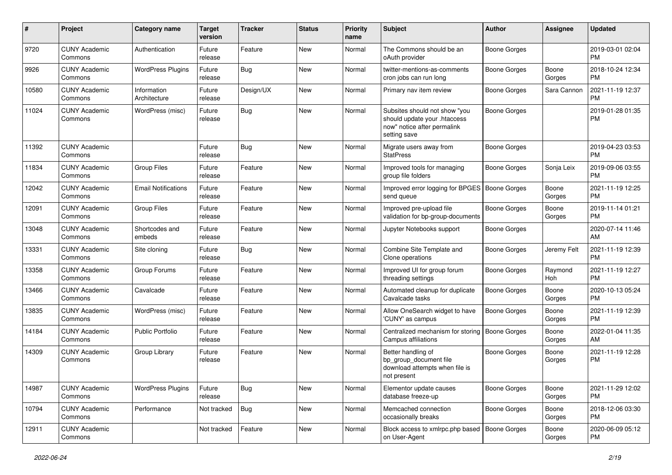| #     | Project                         | <b>Category name</b>        | <b>Target</b><br>version | <b>Tracker</b> | <b>Status</b> | <b>Priority</b><br>name | <b>Subject</b>                                                                                               | <b>Author</b>       | <b>Assignee</b> | <b>Updated</b>                |
|-------|---------------------------------|-----------------------------|--------------------------|----------------|---------------|-------------------------|--------------------------------------------------------------------------------------------------------------|---------------------|-----------------|-------------------------------|
| 9720  | <b>CUNY Academic</b><br>Commons | Authentication              | Future<br>release        | Feature        | New           | Normal                  | The Commons should be an<br>oAuth provider                                                                   | Boone Gorges        |                 | 2019-03-01 02:04<br><b>PM</b> |
| 9926  | <b>CUNY Academic</b><br>Commons | <b>WordPress Plugins</b>    | Future<br>release        | <b>Bug</b>     | New           | Normal                  | twitter-mentions-as-comments<br>cron jobs can run long                                                       | Boone Gorges        | Boone<br>Gorges | 2018-10-24 12:34<br><b>PM</b> |
| 10580 | <b>CUNY Academic</b><br>Commons | Information<br>Architecture | Future<br>release        | Design/UX      | New           | Normal                  | Primary nav item review                                                                                      | Boone Gorges        | Sara Cannon     | 2021-11-19 12:37<br>PM        |
| 11024 | <b>CUNY Academic</b><br>Commons | WordPress (misc)            | Future<br>release        | Bug            | <b>New</b>    | Normal                  | Subsites should not show "you<br>should update your .htaccess<br>now" notice after permalink<br>setting save | Boone Gorges        |                 | 2019-01-28 01:35<br><b>PM</b> |
| 11392 | <b>CUNY Academic</b><br>Commons |                             | Future<br>release        | Bug            | New           | Normal                  | Migrate users away from<br><b>StatPress</b>                                                                  | Boone Gorges        |                 | 2019-04-23 03:53<br><b>PM</b> |
| 11834 | <b>CUNY Academic</b><br>Commons | <b>Group Files</b>          | Future<br>release        | Feature        | New           | Normal                  | Improved tools for managing<br>group file folders                                                            | Boone Gorges        | Sonja Leix      | 2019-09-06 03:55<br><b>PM</b> |
| 12042 | <b>CUNY Academic</b><br>Commons | <b>Email Notifications</b>  | Future<br>release        | Feature        | New           | Normal                  | Improved error logging for BPGES<br>send queue                                                               | <b>Boone Gorges</b> | Boone<br>Gorges | 2021-11-19 12:25<br><b>PM</b> |
| 12091 | <b>CUNY Academic</b><br>Commons | <b>Group Files</b>          | Future<br>release        | Feature        | New           | Normal                  | Improved pre-upload file<br>validation for bp-group-documents                                                | Boone Gorges        | Boone<br>Gorges | 2019-11-14 01:21<br><b>PM</b> |
| 13048 | <b>CUNY Academic</b><br>Commons | Shortcodes and<br>embeds    | Future<br>release        | Feature        | <b>New</b>    | Normal                  | Jupyter Notebooks support                                                                                    | Boone Gorges        |                 | 2020-07-14 11:46<br>AM        |
| 13331 | <b>CUNY Academic</b><br>Commons | Site cloning                | Future<br>release        | Bug            | <b>New</b>    | Normal                  | Combine Site Template and<br>Clone operations                                                                | Boone Gorges        | Jeremy Felt     | 2021-11-19 12:39<br><b>PM</b> |
| 13358 | <b>CUNY Academic</b><br>Commons | Group Forums                | Future<br>release        | Feature        | New           | Normal                  | Improved UI for group forum<br>threading settings                                                            | Boone Gorges        | Raymond<br>Hoh  | 2021-11-19 12:27<br><b>PM</b> |
| 13466 | <b>CUNY Academic</b><br>Commons | Cavalcade                   | Future<br>release        | Feature        | <b>New</b>    | Normal                  | Automated cleanup for duplicate<br>Cavalcade tasks                                                           | Boone Gorges        | Boone<br>Gorges | 2020-10-13 05:24<br><b>PM</b> |
| 13835 | <b>CUNY Academic</b><br>Commons | WordPress (misc)            | Future<br>release        | Feature        | New           | Normal                  | Allow OneSearch widget to have<br>'CUNY' as campus                                                           | Boone Gorges        | Boone<br>Gorges | 2021-11-19 12:39<br><b>PM</b> |
| 14184 | <b>CUNY Academic</b><br>Commons | <b>Public Portfolio</b>     | Future<br>release        | Feature        | New           | Normal                  | Centralized mechanism for storing<br>Campus affiliations                                                     | Boone Gorges        | Boone<br>Gorges | 2022-01-04 11:35<br>AM        |
| 14309 | <b>CUNY Academic</b><br>Commons | Group Library               | Future<br>release        | Feature        | New           | Normal                  | Better handling of<br>bp_group_document file<br>download attempts when file is<br>not present                | Boone Gorges        | Boone<br>Gorges | 2021-11-19 12:28<br><b>PM</b> |
| 14987 | <b>CUNY Academic</b><br>Commons | <b>WordPress Plugins</b>    | Future<br>release        | Bug            | New           | Normal                  | Elementor update causes<br>database freeze-up                                                                | Boone Gorges        | Boone<br>Gorges | 2021-11-29 12:02<br><b>PM</b> |
| 10794 | <b>CUNY Academic</b><br>Commons | Performance                 | Not tracked              | <b>Bug</b>     | New           | Normal                  | Memcached connection<br>occasionally breaks                                                                  | Boone Gorges        | Boone<br>Gorges | 2018-12-06 03:30<br><b>PM</b> |
| 12911 | <b>CUNY Academic</b><br>Commons |                             | Not tracked              | Feature        | New           | Normal                  | Block access to xmlrpc.php based<br>on User-Agent                                                            | Boone Gorges        | Boone<br>Gorges | 2020-06-09 05:12<br><b>PM</b> |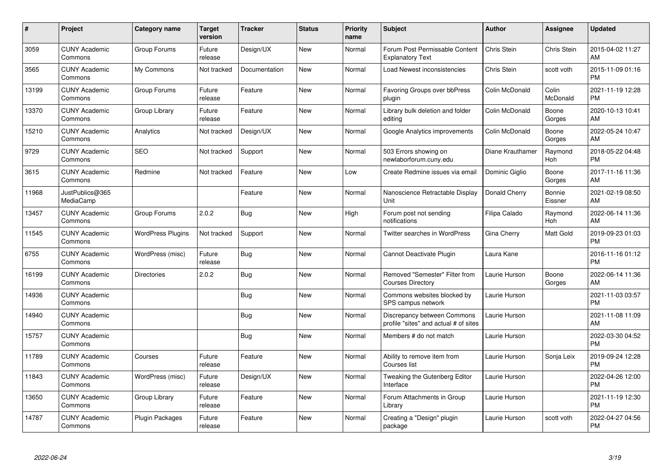| $\pmb{\#}$ | Project                         | <b>Category name</b>     | <b>Target</b><br>version | <b>Tracker</b> | <b>Status</b> | <b>Priority</b><br>name | <b>Subject</b>                                                       | Author           | <b>Assignee</b>   | <b>Updated</b>                |
|------------|---------------------------------|--------------------------|--------------------------|----------------|---------------|-------------------------|----------------------------------------------------------------------|------------------|-------------------|-------------------------------|
| 3059       | <b>CUNY Academic</b><br>Commons | Group Forums             | Future<br>release        | Design/UX      | <b>New</b>    | Normal                  | Forum Post Permissable Content<br><b>Explanatory Text</b>            | Chris Stein      | Chris Stein       | 2015-04-02 11:27<br>AM        |
| 3565       | <b>CUNY Academic</b><br>Commons | My Commons               | Not tracked              | Documentation  | <b>New</b>    | Normal                  | Load Newest inconsistencies                                          | Chris Stein      | scott voth        | 2015-11-09 01:16<br><b>PM</b> |
| 13199      | <b>CUNY Academic</b><br>Commons | Group Forums             | Future<br>release        | Feature        | <b>New</b>    | Normal                  | Favoring Groups over bbPress<br>plugin                               | Colin McDonald   | Colin<br>McDonald | 2021-11-19 12:28<br><b>PM</b> |
| 13370      | <b>CUNY Academic</b><br>Commons | Group Library            | Future<br>release        | Feature        | <b>New</b>    | Normal                  | Library bulk deletion and folder<br>editing                          | Colin McDonald   | Boone<br>Gorges   | 2020-10-13 10:41<br>AM        |
| 15210      | <b>CUNY Academic</b><br>Commons | Analytics                | Not tracked              | Design/UX      | <b>New</b>    | Normal                  | Google Analytics improvements                                        | Colin McDonald   | Boone<br>Gorges   | 2022-05-24 10:47<br>AM        |
| 9729       | <b>CUNY Academic</b><br>Commons | <b>SEO</b>               | Not tracked              | Support        | <b>New</b>    | Normal                  | 503 Errors showing on<br>newlaborforum.cuny.edu                      | Diane Krauthamer | Raymond<br>Hoh    | 2018-05-22 04:48<br><b>PM</b> |
| 3615       | <b>CUNY Academic</b><br>Commons | Redmine                  | Not tracked              | Feature        | <b>New</b>    | Low                     | Create Redmine issues via email                                      | Dominic Giglio   | Boone<br>Gorges   | 2017-11-16 11:36<br>AM        |
| 11968      | JustPublics@365<br>MediaCamp    |                          |                          | Feature        | <b>New</b>    | Normal                  | Nanoscience Retractable Display<br>Unit                              | Donald Cherry    | Bonnie<br>Eissner | 2021-02-19 08:50<br>AM        |
| 13457      | <b>CUNY Academic</b><br>Commons | Group Forums             | 2.0.2                    | Bug            | <b>New</b>    | High                    | Forum post not sending<br>notifications                              | Filipa Calado    | Raymond<br>Hoh    | 2022-06-14 11:36<br>AM        |
| 11545      | <b>CUNY Academic</b><br>Commons | <b>WordPress Plugins</b> | Not tracked              | Support        | <b>New</b>    | Normal                  | <b>Twitter searches in WordPress</b>                                 | Gina Cherry      | <b>Matt Gold</b>  | 2019-09-23 01:03<br><b>PM</b> |
| 6755       | <b>CUNY Academic</b><br>Commons | WordPress (misc)         | Future<br>release        | <b>Bug</b>     | <b>New</b>    | Normal                  | Cannot Deactivate Plugin                                             | Laura Kane       |                   | 2016-11-16 01:12<br><b>PM</b> |
| 16199      | <b>CUNY Academic</b><br>Commons | <b>Directories</b>       | 2.0.2                    | <b>Bug</b>     | <b>New</b>    | Normal                  | Removed "Semester" Filter from<br><b>Courses Directory</b>           | Laurie Hurson    | Boone<br>Gorges   | 2022-06-14 11:36<br>AM        |
| 14936      | <b>CUNY Academic</b><br>Commons |                          |                          | <b>Bug</b>     | New           | Normal                  | Commons websites blocked by<br>SPS campus network                    | Laurie Hurson    |                   | 2021-11-03 03:57<br><b>PM</b> |
| 14940      | <b>CUNY Academic</b><br>Commons |                          |                          | Bug            | <b>New</b>    | Normal                  | Discrepancy between Commons<br>profile "sites" and actual # of sites | Laurie Hurson    |                   | 2021-11-08 11:09<br>AM        |
| 15757      | <b>CUNY Academic</b><br>Commons |                          |                          | <b>Bug</b>     | <b>New</b>    | Normal                  | Members # do not match                                               | Laurie Hurson    |                   | 2022-03-30 04:52<br><b>PM</b> |
| 11789      | <b>CUNY Academic</b><br>Commons | Courses                  | Future<br>release        | Feature        | <b>New</b>    | Normal                  | Ability to remove item from<br>Courses list                          | Laurie Hurson    | Sonja Leix        | 2019-09-24 12:28<br><b>PM</b> |
| 11843      | <b>CUNY Academic</b><br>Commons | WordPress (misc)         | Future<br>release        | Design/UX      | New           | Normal                  | Tweaking the Gutenberg Editor<br>Interface                           | Laurie Hurson    |                   | 2022-04-26 12:00<br><b>PM</b> |
| 13650      | <b>CUNY Academic</b><br>Commons | Group Library            | Future<br>release        | Feature        | <b>New</b>    | Normal                  | Forum Attachments in Group<br>Library                                | Laurie Hurson    |                   | 2021-11-19 12:30<br><b>PM</b> |
| 14787      | CUNY Academic<br>Commons        | Plugin Packages          | Future<br>release        | Feature        | <b>New</b>    | Normal                  | Creating a "Design" plugin<br>package                                | Laurie Hurson    | scott voth        | 2022-04-27 04:56<br>PM        |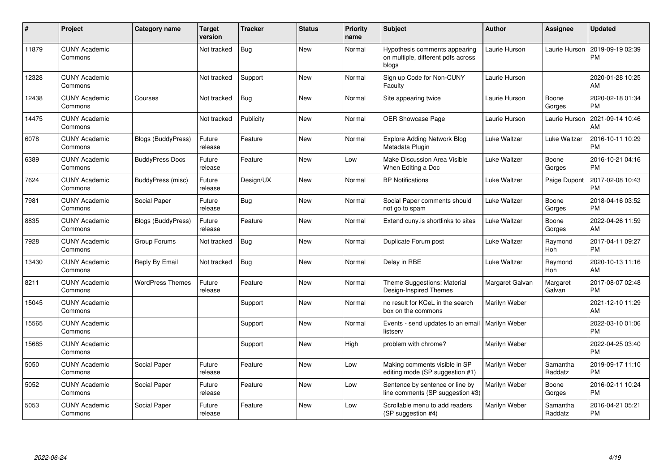| #     | Project                         | <b>Category name</b>      | <b>Target</b><br>version | <b>Tracker</b> | <b>Status</b> | <b>Priority</b><br>name | <b>Subject</b>                                                               | <b>Author</b>   | <b>Assignee</b>     | <b>Updated</b>                |
|-------|---------------------------------|---------------------------|--------------------------|----------------|---------------|-------------------------|------------------------------------------------------------------------------|-----------------|---------------------|-------------------------------|
| 11879 | <b>CUNY Academic</b><br>Commons |                           | Not tracked              | Bug            | <b>New</b>    | Normal                  | Hypothesis comments appearing<br>on multiple, different pdfs across<br>blogs | Laurie Hurson   | Laurie Hurson       | 2019-09-19 02:39<br><b>PM</b> |
| 12328 | <b>CUNY Academic</b><br>Commons |                           | Not tracked              | Support        | <b>New</b>    | Normal                  | Sign up Code for Non-CUNY<br>Faculty                                         | Laurie Hurson   |                     | 2020-01-28 10:25<br>AM        |
| 12438 | <b>CUNY Academic</b><br>Commons | Courses                   | Not tracked              | <b>Bug</b>     | <b>New</b>    | Normal                  | Site appearing twice                                                         | Laurie Hurson   | Boone<br>Gorges     | 2020-02-18 01:34<br><b>PM</b> |
| 14475 | <b>CUNY Academic</b><br>Commons |                           | Not tracked              | Publicity      | <b>New</b>    | Normal                  | <b>OER Showcase Page</b>                                                     | Laurie Hurson   | Laurie Hurson       | 2021-09-14 10:46<br>AM        |
| 6078  | <b>CUNY Academic</b><br>Commons | Blogs (BuddyPress)        | Future<br>release        | Feature        | <b>New</b>    | Normal                  | <b>Explore Adding Network Blog</b><br>Metadata Plugin                        | Luke Waltzer    | Luke Waltzer        | 2016-10-11 10:29<br><b>PM</b> |
| 6389  | <b>CUNY Academic</b><br>Commons | <b>BuddyPress Docs</b>    | Future<br>release        | Feature        | <b>New</b>    | Low                     | Make Discussion Area Visible<br>When Editing a Doc                           | Luke Waltzer    | Boone<br>Gorges     | 2016-10-21 04:16<br><b>PM</b> |
| 7624  | <b>CUNY Academic</b><br>Commons | BuddyPress (misc)         | Future<br>release        | Design/UX      | <b>New</b>    | Normal                  | <b>BP</b> Notifications                                                      | Luke Waltzer    | Paige Dupont        | 2017-02-08 10:43<br><b>PM</b> |
| 7981  | <b>CUNY Academic</b><br>Commons | Social Paper              | Future<br>release        | <b>Bug</b>     | <b>New</b>    | Normal                  | Social Paper comments should<br>not go to spam                               | Luke Waltzer    | Boone<br>Gorges     | 2018-04-16 03:52<br><b>PM</b> |
| 8835  | <b>CUNY Academic</b><br>Commons | <b>Blogs (BuddyPress)</b> | Future<br>release        | Feature        | <b>New</b>    | Normal                  | Extend cuny.is shortlinks to sites                                           | Luke Waltzer    | Boone<br>Gorges     | 2022-04-26 11:59<br>AM        |
| 7928  | <b>CUNY Academic</b><br>Commons | Group Forums              | Not tracked              | <b>Bug</b>     | New           | Normal                  | Duplicate Forum post                                                         | Luke Waltzer    | Raymond<br>Hoh      | 2017-04-11 09:27<br><b>PM</b> |
| 13430 | <b>CUNY Academic</b><br>Commons | Reply By Email            | Not tracked              | Bug            | <b>New</b>    | Normal                  | Delay in RBE                                                                 | Luke Waltzer    | Raymond<br>Hoh      | 2020-10-13 11:16<br>AM        |
| 8211  | <b>CUNY Academic</b><br>Commons | <b>WordPress Themes</b>   | Future<br>release        | Feature        | <b>New</b>    | Normal                  | Theme Suggestions: Material<br>Design-Inspired Themes                        | Margaret Galvan | Margaret<br>Galvan  | 2017-08-07 02:48<br><b>PM</b> |
| 15045 | <b>CUNY Academic</b><br>Commons |                           |                          | Support        | <b>New</b>    | Normal                  | no result for KCeL in the search<br>box on the commons                       | Marilyn Weber   |                     | 2021-12-10 11:29<br>AM        |
| 15565 | <b>CUNY Academic</b><br>Commons |                           |                          | Support        | New           | Normal                  | Events - send updates to an email   Marilyn Weber<br>listserv                |                 |                     | 2022-03-10 01:06<br><b>PM</b> |
| 15685 | <b>CUNY Academic</b><br>Commons |                           |                          | Support        | <b>New</b>    | High                    | problem with chrome?                                                         | Marilyn Weber   |                     | 2022-04-25 03:40<br><b>PM</b> |
| 5050  | <b>CUNY Academic</b><br>Commons | Social Paper              | Future<br>release        | Feature        | <b>New</b>    | Low                     | Making comments visible in SP<br>editing mode (SP suggestion #1)             | Marilyn Weber   | Samantha<br>Raddatz | 2019-09-17 11:10<br><b>PM</b> |
| 5052  | <b>CUNY Academic</b><br>Commons | Social Paper              | Future<br>release        | Feature        | <b>New</b>    | Low                     | Sentence by sentence or line by<br>line comments (SP suggestion #3)          | Marilyn Weber   | Boone<br>Gorges     | 2016-02-11 10:24<br><b>PM</b> |
| 5053  | <b>CUNY Academic</b><br>Commons | Social Paper              | Future<br>release        | Feature        | <b>New</b>    | Low                     | Scrollable menu to add readers<br>(SP suggestion #4)                         | Marilyn Weber   | Samantha<br>Raddatz | 2016-04-21 05:21<br><b>PM</b> |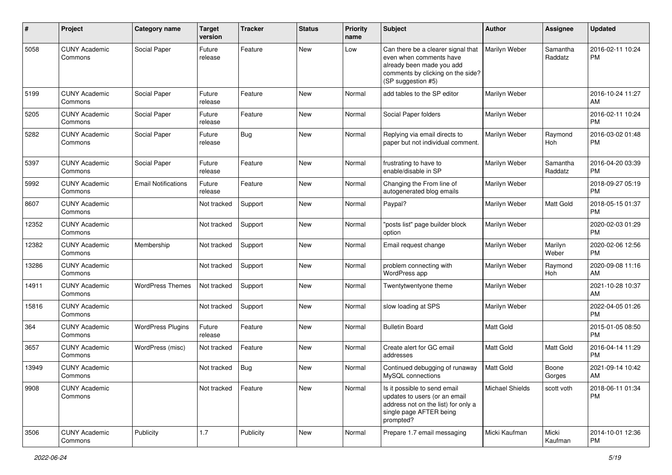| #     | Project                         | <b>Category name</b>       | <b>Target</b><br>version | <b>Tracker</b> | <b>Status</b> | <b>Priority</b><br>name | Subject                                                                                                                                               | Author          | <b>Assignee</b>       | <b>Updated</b>                |
|-------|---------------------------------|----------------------------|--------------------------|----------------|---------------|-------------------------|-------------------------------------------------------------------------------------------------------------------------------------------------------|-----------------|-----------------------|-------------------------------|
| 5058  | <b>CUNY Academic</b><br>Commons | Social Paper               | Future<br>release        | Feature        | <b>New</b>    | Low                     | Can there be a clearer signal that<br>even when comments have<br>already been made you add<br>comments by clicking on the side?<br>(SP suggestion #5) | Marilyn Weber   | Samantha<br>Raddatz   | 2016-02-11 10:24<br>РM        |
| 5199  | <b>CUNY Academic</b><br>Commons | Social Paper               | Future<br>release        | Feature        | New           | Normal                  | add tables to the SP editor                                                                                                                           | Marilyn Weber   |                       | 2016-10-24 11:27<br>AM        |
| 5205  | <b>CUNY Academic</b><br>Commons | Social Paper               | Future<br>release        | Feature        | New           | Normal                  | Social Paper folders                                                                                                                                  | Marilyn Weber   |                       | 2016-02-11 10:24<br><b>PM</b> |
| 5282  | <b>CUNY Academic</b><br>Commons | Social Paper               | Future<br>release        | <b>Bug</b>     | New           | Normal                  | Replying via email directs to<br>paper but not individual comment.                                                                                    | Marilyn Weber   | Raymond<br>Hoh        | 2016-03-02 01:48<br><b>PM</b> |
| 5397  | <b>CUNY Academic</b><br>Commons | Social Paper               | Future<br>release        | Feature        | New           | Normal                  | frustrating to have to<br>enable/disable in SP                                                                                                        | Marilyn Weber   | Samantha<br>Raddatz   | 2016-04-20 03:39<br>РM        |
| 5992  | <b>CUNY Academic</b><br>Commons | <b>Email Notifications</b> | Future<br>release        | Feature        | <b>New</b>    | Normal                  | Changing the From line of<br>autogenerated blog emails                                                                                                | Marilyn Weber   |                       | 2018-09-27 05:19<br><b>PM</b> |
| 8607  | <b>CUNY Academic</b><br>Commons |                            | Not tracked              | Support        | New           | Normal                  | Paypal?                                                                                                                                               | Marilyn Weber   | <b>Matt Gold</b>      | 2018-05-15 01:37<br><b>PM</b> |
| 12352 | <b>CUNY Academic</b><br>Commons |                            | Not tracked              | Support        | New           | Normal                  | 'posts list" page builder block<br>option                                                                                                             | Marilyn Weber   |                       | 2020-02-03 01:29<br><b>PM</b> |
| 12382 | <b>CUNY Academic</b><br>Commons | Membership                 | Not tracked              | Support        | New           | Normal                  | Email request change                                                                                                                                  | Marilyn Weber   | Marilyn<br>Weber      | 2020-02-06 12:56<br><b>PM</b> |
| 13286 | <b>CUNY Academic</b><br>Commons |                            | Not tracked              | Support        | New           | Normal                  | problem connecting with<br>WordPress app                                                                                                              | Marilyn Weber   | Raymond<br><b>Hoh</b> | 2020-09-08 11:16<br>AM        |
| 14911 | <b>CUNY Academic</b><br>Commons | <b>WordPress Themes</b>    | Not tracked              | Support        | New           | Normal                  | Twentytwentyone theme                                                                                                                                 | Marilyn Weber   |                       | 2021-10-28 10:37<br>AM        |
| 15816 | <b>CUNY Academic</b><br>Commons |                            | Not tracked              | Support        | New           | Normal                  | slow loading at SPS                                                                                                                                   | Marilyn Weber   |                       | 2022-04-05 01:26<br><b>PM</b> |
| 364   | <b>CUNY Academic</b><br>Commons | <b>WordPress Plugins</b>   | Future<br>release        | Feature        | New           | Normal                  | <b>Bulletin Board</b>                                                                                                                                 | Matt Gold       |                       | 2015-01-05 08:50<br><b>PM</b> |
| 3657  | <b>CUNY Academic</b><br>Commons | WordPress (misc)           | Not tracked              | Feature        | New           | Normal                  | Create alert for GC email<br>addresses                                                                                                                | Matt Gold       | Matt Gold             | 2016-04-14 11:29<br>PM        |
| 13949 | <b>CUNY Academic</b><br>Commons |                            | Not tracked              | <b>Bug</b>     | <b>New</b>    | Normal                  | Continued debugging of runaway<br>MySQL connections                                                                                                   | Matt Gold       | Boone<br>Gorges       | 2021-09-14 10:42<br>AM        |
| 9908  | <b>CUNY Academic</b><br>Commons |                            | Not tracked              | Feature        | New           | Normal                  | Is it possible to send email<br>updates to users (or an email<br>address not on the list) for only a<br>single page AFTER being<br>prompted?          | Michael Shields | scott voth            | 2018-06-11 01:34<br><b>PM</b> |
| 3506  | <b>CUNY Academic</b><br>Commons | Publicity                  | 1.7                      | Publicity      | New           | Normal                  | Prepare 1.7 email messaging                                                                                                                           | Micki Kaufman   | Micki<br>Kaufman      | 2014-10-01 12:36<br>PM        |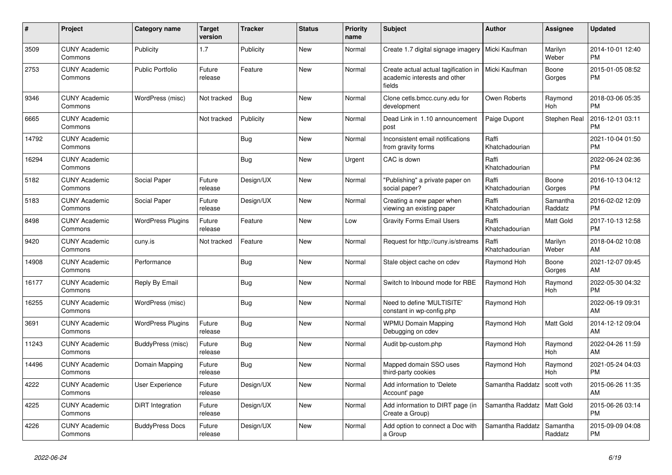| #     | <b>Project</b>                  | <b>Category name</b>     | <b>Target</b><br>version | Tracker    | <b>Status</b> | <b>Priority</b><br>name | <b>Subject</b>                                                                 | <b>Author</b>           | <b>Assignee</b>       | <b>Updated</b>                |
|-------|---------------------------------|--------------------------|--------------------------|------------|---------------|-------------------------|--------------------------------------------------------------------------------|-------------------------|-----------------------|-------------------------------|
| 3509  | <b>CUNY Academic</b><br>Commons | Publicity                | 1.7                      | Publicity  | <b>New</b>    | Normal                  | Create 1.7 digital signage imagery                                             | Micki Kaufman           | Marilyn<br>Weber      | 2014-10-01 12:40<br><b>PM</b> |
| 2753  | <b>CUNY Academic</b><br>Commons | <b>Public Portfolio</b>  | Future<br>release        | Feature    | <b>New</b>    | Normal                  | Create actual actual tagification in<br>academic interests and other<br>fields | Micki Kaufman           | Boone<br>Gorges       | 2015-01-05 08:52<br><b>PM</b> |
| 9346  | <b>CUNY Academic</b><br>Commons | WordPress (misc)         | Not tracked              | Bug        | <b>New</b>    | Normal                  | Clone cetls.bmcc.cuny.edu for<br>development                                   | Owen Roberts            | Raymond<br>Hoh        | 2018-03-06 05:35<br><b>PM</b> |
| 6665  | <b>CUNY Academic</b><br>Commons |                          | Not tracked              | Publicity  | <b>New</b>    | Normal                  | Dead Link in 1.10 announcement<br>post                                         | Paige Dupont            | Stephen Real          | 2016-12-01 03:11<br><b>PM</b> |
| 14792 | <b>CUNY Academic</b><br>Commons |                          |                          | Bug        | New           | Normal                  | Inconsistent email notifications<br>from gravity forms                         | Raffi<br>Khatchadourian |                       | 2021-10-04 01:50<br><b>PM</b> |
| 16294 | <b>CUNY Academic</b><br>Commons |                          |                          | <b>Bug</b> | <b>New</b>    | Urgent                  | CAC is down                                                                    | Raffi<br>Khatchadourian |                       | 2022-06-24 02:36<br><b>PM</b> |
| 5182  | <b>CUNY Academic</b><br>Commons | Social Paper             | Future<br>release        | Design/UX  | <b>New</b>    | Normal                  | "Publishing" a private paper on<br>social paper?                               | Raffi<br>Khatchadourian | Boone<br>Gorges       | 2016-10-13 04:12<br><b>PM</b> |
| 5183  | <b>CUNY Academic</b><br>Commons | Social Paper             | Future<br>release        | Design/UX  | New           | Normal                  | Creating a new paper when<br>viewing an existing paper                         | Raffi<br>Khatchadourian | Samantha<br>Raddatz   | 2016-02-02 12:09<br><b>PM</b> |
| 8498  | <b>CUNY Academic</b><br>Commons | <b>WordPress Plugins</b> | Future<br>release        | Feature    | <b>New</b>    | Low                     | <b>Gravity Forms Email Users</b>                                               | Raffi<br>Khatchadourian | Matt Gold             | 2017-10-13 12:58<br><b>PM</b> |
| 9420  | <b>CUNY Academic</b><br>Commons | cuny.is                  | Not tracked              | Feature    | <b>New</b>    | Normal                  | Request for http://cuny.is/streams                                             | Raffi<br>Khatchadourian | Marilyn<br>Weber      | 2018-04-02 10:08<br>AM        |
| 14908 | <b>CUNY Academic</b><br>Commons | Performance              |                          | Bug        | New           | Normal                  | Stale object cache on cdev                                                     | Raymond Hoh             | Boone<br>Gorges       | 2021-12-07 09:45<br>AM        |
| 16177 | <b>CUNY Academic</b><br>Commons | Reply By Email           |                          | Bug        | <b>New</b>    | Normal                  | Switch to Inbound mode for RBE                                                 | Raymond Hoh             | Raymond<br><b>Hoh</b> | 2022-05-30 04:32<br><b>PM</b> |
| 16255 | <b>CUNY Academic</b><br>Commons | WordPress (misc)         |                          | <b>Bug</b> | <b>New</b>    | Normal                  | Need to define 'MULTISITE'<br>constant in wp-config.php                        | Raymond Hoh             |                       | 2022-06-19 09:31<br>AM        |
| 3691  | <b>CUNY Academic</b><br>Commons | <b>WordPress Plugins</b> | Future<br>release        | Bug        | New           | Normal                  | <b>WPMU Domain Mapping</b><br>Debugging on cdev                                | Raymond Hoh             | Matt Gold             | 2014-12-12 09:04<br>AM        |
| 11243 | <b>CUNY Academic</b><br>Commons | BuddyPress (misc)        | Future<br>release        | <b>Bug</b> | New           | Normal                  | Audit bp-custom.php                                                            | Raymond Hoh             | Raymond<br><b>Hoh</b> | 2022-04-26 11:59<br>AM        |
| 14496 | <b>CUNY Academic</b><br>Commons | Domain Mapping           | Future<br>release        | <b>Bug</b> | <b>New</b>    | Normal                  | Mapped domain SSO uses<br>third-party cookies                                  | Raymond Hoh             | Raymond<br><b>Hoh</b> | 2021-05-24 04:03<br><b>PM</b> |
| 4222  | <b>CUNY Academic</b><br>Commons | User Experience          | Future<br>release        | Design/UX  | <b>New</b>    | Normal                  | Add information to 'Delete<br>Account' page                                    | Samantha Raddatz        | scott voth            | 2015-06-26 11:35<br>AM        |
| 4225  | <b>CUNY Academic</b><br>Commons | DiRT Integration         | Future<br>release        | Design/UX  | <b>New</b>    | Normal                  | Add information to DIRT page (in<br>Create a Group)                            | Samantha Raddatz        | Matt Gold             | 2015-06-26 03:14<br><b>PM</b> |
| 4226  | <b>CUNY Academic</b><br>Commons | <b>BuddyPress Docs</b>   | Future<br>release        | Design/UX  | <b>New</b>    | Normal                  | Add option to connect a Doc with<br>a Group                                    | Samantha Raddatz        | Samantha<br>Raddatz   | 2015-09-09 04:08<br><b>PM</b> |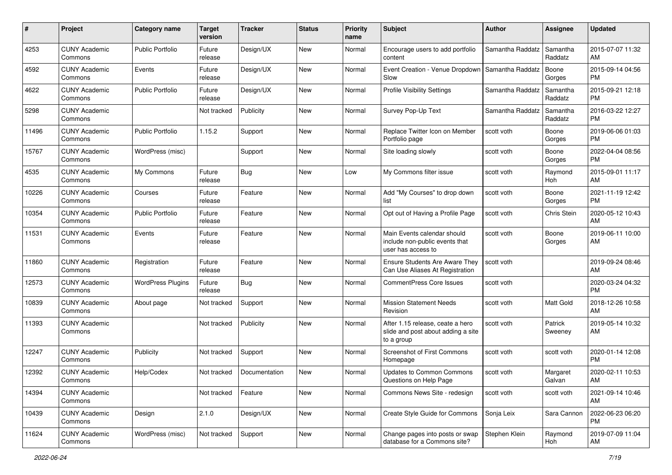| #     | Project                         | <b>Category name</b>     | <b>Target</b><br>version | <b>Tracker</b> | <b>Status</b> | <b>Priority</b><br>name | Subject                                                                              | Author           | Assignee            | <b>Updated</b>                |
|-------|---------------------------------|--------------------------|--------------------------|----------------|---------------|-------------------------|--------------------------------------------------------------------------------------|------------------|---------------------|-------------------------------|
| 4253  | <b>CUNY Academic</b><br>Commons | <b>Public Portfolio</b>  | Future<br>release        | Design/UX      | <b>New</b>    | Normal                  | Encourage users to add portfolio<br>content                                          | Samantha Raddatz | Samantha<br>Raddatz | 2015-07-07 11:32<br>AM        |
| 4592  | <b>CUNY Academic</b><br>Commons | Events                   | Future<br>release        | Design/UX      | <b>New</b>    | Normal                  | Event Creation - Venue Dropdown<br>Slow                                              | Samantha Raddatz | Boone<br>Gorges     | 2015-09-14 04:56<br><b>PM</b> |
| 4622  | <b>CUNY Academic</b><br>Commons | <b>Public Portfolio</b>  | Future<br>release        | Design/UX      | <b>New</b>    | Normal                  | Profile Visibility Settings                                                          | Samantha Raddatz | Samantha<br>Raddatz | 2015-09-21 12:18<br><b>PM</b> |
| 5298  | <b>CUNY Academic</b><br>Commons |                          | Not tracked              | Publicity      | New           | Normal                  | Survey Pop-Up Text                                                                   | Samantha Raddatz | Samantha<br>Raddatz | 2016-03-22 12:27<br>PM        |
| 11496 | <b>CUNY Academic</b><br>Commons | <b>Public Portfolio</b>  | 1.15.2                   | Support        | <b>New</b>    | Normal                  | Replace Twitter Icon on Member<br>Portfolio page                                     | scott voth       | Boone<br>Gorges     | 2019-06-06 01:03<br><b>PM</b> |
| 15767 | <b>CUNY Academic</b><br>Commons | WordPress (misc)         |                          | Support        | <b>New</b>    | Normal                  | Site loading slowly                                                                  | scott voth       | Boone<br>Gorges     | 2022-04-04 08:56<br>PM        |
| 4535  | <b>CUNY Academic</b><br>Commons | My Commons               | Future<br>release        | Bug            | New           | Low                     | My Commons filter issue                                                              | scott voth       | Raymond<br>Hoh      | 2015-09-01 11:17<br>AM        |
| 10226 | <b>CUNY Academic</b><br>Commons | Courses                  | Future<br>release        | Feature        | <b>New</b>    | Normal                  | Add "My Courses" to drop down<br>list                                                | scott voth       | Boone<br>Gorges     | 2021-11-19 12:42<br>PM        |
| 10354 | <b>CUNY Academic</b><br>Commons | <b>Public Portfolio</b>  | Future<br>release        | Feature        | <b>New</b>    | Normal                  | Opt out of Having a Profile Page                                                     | scott voth       | Chris Stein         | 2020-05-12 10:43<br>AM        |
| 11531 | <b>CUNY Academic</b><br>Commons | Events                   | Future<br>release        | Feature        | New           | Normal                  | Main Events calendar should<br>include non-public events that<br>user has access to  | scott voth       | Boone<br>Gorges     | 2019-06-11 10:00<br>AM        |
| 11860 | <b>CUNY Academic</b><br>Commons | Registration             | Future<br>release        | Feature        | <b>New</b>    | Normal                  | <b>Ensure Students Are Aware They</b><br>Can Use Aliases At Registration             | scott voth       |                     | 2019-09-24 08:46<br>AM        |
| 12573 | <b>CUNY Academic</b><br>Commons | <b>WordPress Plugins</b> | Future<br>release        | Bug            | New           | Normal                  | <b>CommentPress Core Issues</b>                                                      | scott voth       |                     | 2020-03-24 04:32<br><b>PM</b> |
| 10839 | <b>CUNY Academic</b><br>Commons | About page               | Not tracked              | Support        | <b>New</b>    | Normal                  | <b>Mission Statement Needs</b><br>Revision                                           | scott voth       | Matt Gold           | 2018-12-26 10:58<br>AM        |
| 11393 | <b>CUNY Academic</b><br>Commons |                          | Not tracked              | Publicity      | <b>New</b>    | Normal                  | After 1.15 release, ceate a hero<br>slide and post about adding a site<br>to a group | scott voth       | Patrick<br>Sweeney  | 2019-05-14 10:32<br>AM        |
| 12247 | <b>CUNY Academic</b><br>Commons | Publicity                | Not tracked              | Support        | <b>New</b>    | Normal                  | Screenshot of First Commons<br>Homepage                                              | scott voth       | scott voth          | 2020-01-14 12:08<br><b>PM</b> |
| 12392 | <b>CUNY Academic</b><br>Commons | Help/Codex               | Not tracked              | Documentation  | New           | Normal                  | <b>Updates to Common Commons</b><br>Questions on Help Page                           | scott voth       | Margaret<br>Galvan  | 2020-02-11 10:53<br>AM        |
| 14394 | <b>CUNY Academic</b><br>Commons |                          | Not tracked              | Feature        | New           | Normal                  | Commons News Site - redesign                                                         | scott voth       | scott voth          | 2021-09-14 10:46<br>AM        |
| 10439 | <b>CUNY Academic</b><br>Commons | Design                   | 2.1.0                    | Design/UX      | New           | Normal                  | Create Style Guide for Commons                                                       | Sonja Leix       | Sara Cannon         | 2022-06-23 06:20<br><b>PM</b> |
| 11624 | <b>CUNY Academic</b><br>Commons | WordPress (misc)         | Not tracked              | Support        | New           | Normal                  | Change pages into posts or swap<br>database for a Commons site?                      | Stephen Klein    | Raymond<br>Hoh      | 2019-07-09 11:04<br>AM        |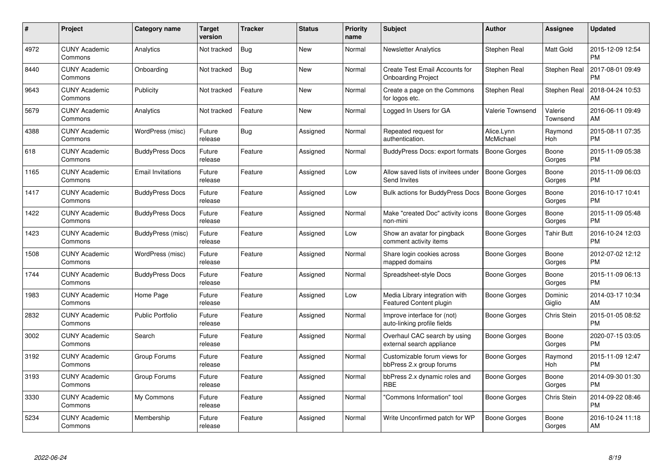| $\#$ | Project                         | <b>Category name</b>     | Target<br>version | <b>Tracker</b> | <b>Status</b> | <b>Priority</b><br>name | <b>Subject</b>                                                   | Author                  | <b>Assignee</b>       | <b>Updated</b>                |
|------|---------------------------------|--------------------------|-------------------|----------------|---------------|-------------------------|------------------------------------------------------------------|-------------------------|-----------------------|-------------------------------|
| 4972 | <b>CUNY Academic</b><br>Commons | Analytics                | Not tracked       | Bug            | <b>New</b>    | Normal                  | <b>Newsletter Analytics</b>                                      | Stephen Real            | <b>Matt Gold</b>      | 2015-12-09 12:54<br><b>PM</b> |
| 8440 | <b>CUNY Academic</b><br>Commons | Onboarding               | Not tracked       | Bug            | <b>New</b>    | Normal                  | Create Test Email Accounts for<br><b>Onboarding Project</b>      | Stephen Real            | Stephen Real          | 2017-08-01 09:49<br><b>PM</b> |
| 9643 | <b>CUNY Academic</b><br>Commons | Publicity                | Not tracked       | Feature        | <b>New</b>    | Normal                  | Create a page on the Commons<br>for logos etc.                   | Stephen Real            | Stephen Real          | 2018-04-24 10:53<br>AM        |
| 5679 | <b>CUNY Academic</b><br>Commons | Analytics                | Not tracked       | Feature        | <b>New</b>    | Normal                  | Logged In Users for GA                                           | <b>Valerie Townsend</b> | Valerie<br>Townsend   | 2016-06-11 09:49<br>AM        |
| 4388 | <b>CUNY Academic</b><br>Commons | WordPress (misc)         | Future<br>release | Bug            | Assigned      | Normal                  | Repeated request for<br>authentication.                          | Alice.Lynn<br>McMichael | Raymond<br><b>Hoh</b> | 2015-08-11 07:35<br><b>PM</b> |
| 618  | <b>CUNY Academic</b><br>Commons | <b>BuddyPress Docs</b>   | Future<br>release | Feature        | Assigned      | Normal                  | BuddyPress Docs: export formats                                  | <b>Boone Gorges</b>     | Boone<br>Gorges       | 2015-11-09 05:38<br><b>PM</b> |
| 1165 | <b>CUNY Academic</b><br>Commons | <b>Email Invitations</b> | Future<br>release | Feature        | Assigned      | Low                     | Allow saved lists of invitees under<br>Send Invites              | <b>Boone Gorges</b>     | Boone<br>Gorges       | 2015-11-09 06:03<br><b>PM</b> |
| 1417 | <b>CUNY Academic</b><br>Commons | <b>BuddyPress Docs</b>   | Future<br>release | Feature        | Assigned      | Low                     | Bulk actions for BuddyPress Docs                                 | <b>Boone Gorges</b>     | Boone<br>Gorges       | 2016-10-17 10:41<br><b>PM</b> |
| 1422 | <b>CUNY Academic</b><br>Commons | <b>BuddyPress Docs</b>   | Future<br>release | Feature        | Assigned      | Normal                  | Make "created Doc" activity icons<br>non-mini                    | <b>Boone Gorges</b>     | Boone<br>Gorges       | 2015-11-09 05:48<br><b>PM</b> |
| 1423 | <b>CUNY Academic</b><br>Commons | BuddyPress (misc)        | Future<br>release | Feature        | Assigned      | Low                     | Show an avatar for pingback<br>comment activity items            | Boone Gorges            | <b>Tahir Butt</b>     | 2016-10-24 12:03<br><b>PM</b> |
| 1508 | <b>CUNY Academic</b><br>Commons | WordPress (misc)         | Future<br>release | Feature        | Assigned      | Normal                  | Share login cookies across<br>mapped domains                     | Boone Gorges            | Boone<br>Gorges       | 2012-07-02 12:12<br><b>PM</b> |
| 1744 | <b>CUNY Academic</b><br>Commons | <b>BuddyPress Docs</b>   | Future<br>release | Feature        | Assigned      | Normal                  | Spreadsheet-style Docs                                           | Boone Gorges            | Boone<br>Gorges       | 2015-11-09 06:13<br><b>PM</b> |
| 1983 | <b>CUNY Academic</b><br>Commons | Home Page                | Future<br>release | Feature        | Assigned      | Low                     | Media Library integration with<br><b>Featured Content plugin</b> | Boone Gorges            | Dominic<br>Giglio     | 2014-03-17 10:34<br>AM        |
| 2832 | <b>CUNY Academic</b><br>Commons | <b>Public Portfolio</b>  | Future<br>release | Feature        | Assigned      | Normal                  | Improve interface for (not)<br>auto-linking profile fields       | Boone Gorges            | Chris Stein           | 2015-01-05 08:52<br><b>PM</b> |
| 3002 | <b>CUNY Academic</b><br>Commons | Search                   | Future<br>release | Feature        | Assigned      | Normal                  | Overhaul CAC search by using<br>external search appliance        | <b>Boone Gorges</b>     | Boone<br>Gorges       | 2020-07-15 03:05<br><b>PM</b> |
| 3192 | <b>CUNY Academic</b><br>Commons | Group Forums             | Future<br>release | Feature        | Assigned      | Normal                  | Customizable forum views for<br>bbPress 2.x group forums         | <b>Boone Gorges</b>     | Raymond<br>Hoh        | 2015-11-09 12:47<br><b>PM</b> |
| 3193 | <b>CUNY Academic</b><br>Commons | Group Forums             | Future<br>release | Feature        | Assigned      | Normal                  | bbPress 2.x dynamic roles and<br><b>RBE</b>                      | Boone Gorges            | Boone<br>Gorges       | 2014-09-30 01:30<br><b>PM</b> |
| 3330 | <b>CUNY Academic</b><br>Commons | My Commons               | Future<br>release | Feature        | Assigned      | Normal                  | 'Commons Information" tool                                       | Boone Gorges            | Chris Stein           | 2014-09-22 08:46<br><b>PM</b> |
| 5234 | <b>CUNY Academic</b><br>Commons | Membership               | Future<br>release | Feature        | Assigned      | Normal                  | Write Unconfirmed patch for WP                                   | Boone Gorges            | Boone<br>Gorges       | 2016-10-24 11:18<br>AM        |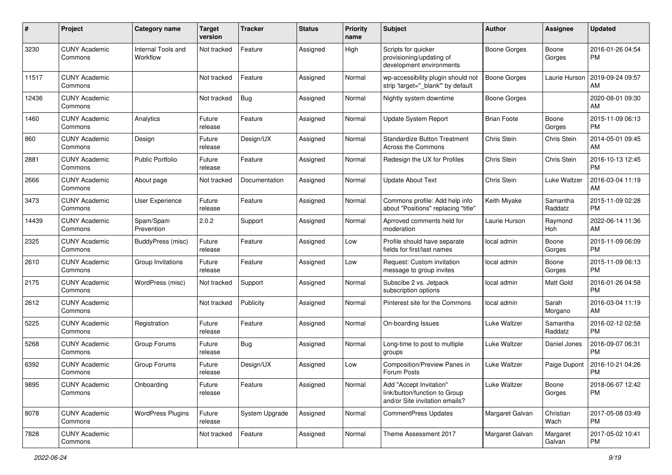| #     | Project                         | <b>Category name</b>           | <b>Target</b><br>version | Tracker        | <b>Status</b> | <b>Priority</b><br>name | <b>Subject</b>                                                                             | <b>Author</b>       | <b>Assignee</b>     | <b>Updated</b>                |
|-------|---------------------------------|--------------------------------|--------------------------|----------------|---------------|-------------------------|--------------------------------------------------------------------------------------------|---------------------|---------------------|-------------------------------|
| 3230  | <b>CUNY Academic</b><br>Commons | Internal Tools and<br>Workflow | Not tracked              | Feature        | Assigned      | High                    | Scripts for quicker<br>provisioning/updating of<br>development environments                | <b>Boone Gorges</b> | Boone<br>Gorges     | 2016-01-26 04:54<br>РM        |
| 11517 | <b>CUNY Academic</b><br>Commons |                                | Not tracked              | Feature        | Assigned      | Normal                  | wp-accessibility plugin should not<br>strip 'target="_blank"' by default                   | <b>Boone Gorges</b> | Laurie Hurson       | 2019-09-24 09:57<br>AM        |
| 12436 | <b>CUNY Academic</b><br>Commons |                                | Not tracked              | <b>Bug</b>     | Assigned      | Normal                  | Nightly system downtime                                                                    | <b>Boone Gorges</b> |                     | 2020-08-01 09:30<br>AM        |
| 1460  | <b>CUNY Academic</b><br>Commons | Analytics                      | Future<br>release        | Feature        | Assigned      | Normal                  | <b>Update System Report</b>                                                                | <b>Brian Foote</b>  | Boone<br>Gorges     | 2015-11-09 06:13<br><b>PM</b> |
| 860   | <b>CUNY Academic</b><br>Commons | Design                         | Future<br>release        | Design/UX      | Assigned      | Normal                  | <b>Standardize Button Treatment</b><br>Across the Commons                                  | <b>Chris Stein</b>  | Chris Stein         | 2014-05-01 09:45<br>AM        |
| 2881  | <b>CUNY Academic</b><br>Commons | <b>Public Portfolio</b>        | Future<br>release        | Feature        | Assigned      | Normal                  | Redesign the UX for Profiles                                                               | Chris Stein         | Chris Stein         | 2016-10-13 12:45<br><b>PM</b> |
| 2666  | <b>CUNY Academic</b><br>Commons | About page                     | Not tracked              | Documentation  | Assigned      | Normal                  | <b>Update About Text</b>                                                                   | Chris Stein         | Luke Waltzer        | 2016-03-04 11:19<br>AM        |
| 3473  | <b>CUNY Academic</b><br>Commons | User Experience                | Future<br>release        | Feature        | Assigned      | Normal                  | Commons profile: Add help info<br>about "Positions" replacing "title"                      | Keith Miyake        | Samantha<br>Raddatz | 2015-11-09 02:28<br><b>PM</b> |
| 14439 | <b>CUNY Academic</b><br>Commons | Spam/Spam<br>Prevention        | 2.0.2                    | Support        | Assigned      | Normal                  | Aprroved comments held for<br>moderation                                                   | Laurie Hurson       | Raymond<br>Hoh      | 2022-06-14 11:36<br>AM        |
| 2325  | <b>CUNY Academic</b><br>Commons | BuddyPress (misc)              | Future<br>release        | Feature        | Assigned      | Low                     | Profile should have separate<br>fields for first/last names                                | local admin         | Boone<br>Gorges     | 2015-11-09 06:09<br><b>PM</b> |
| 2610  | <b>CUNY Academic</b><br>Commons | Group Invitations              | Future<br>release        | Feature        | Assigned      | Low                     | Request: Custom invitation<br>message to group invites                                     | local admin         | Boone<br>Gorges     | 2015-11-09 06:13<br><b>PM</b> |
| 2175  | <b>CUNY Academic</b><br>Commons | WordPress (misc)               | Not tracked              | Support        | Assigned      | Normal                  | Subscibe 2 vs. Jetpack<br>subscription options                                             | local admin         | Matt Gold           | 2016-01-26 04:58<br><b>PM</b> |
| 2612  | <b>CUNY Academic</b><br>Commons |                                | Not tracked              | Publicity      | Assigned      | Normal                  | Pinterest site for the Commons                                                             | local admin         | Sarah<br>Morgano    | 2016-03-04 11:19<br>AM        |
| 5225  | <b>CUNY Academic</b><br>Commons | Registration                   | Future<br>release        | Feature        | Assigned      | Normal                  | On-boarding Issues                                                                         | Luke Waltzer        | Samantha<br>Raddatz | 2016-02-12 02:58<br><b>PM</b> |
| 5268  | <b>CUNY Academic</b><br>Commons | Group Forums                   | Future<br>release        | <b>Bug</b>     | Assigned      | Normal                  | Long-time to post to multiple<br>groups                                                    | Luke Waltzer        | Daniel Jones        | 2016-09-07 06:31<br>PM        |
| 6392  | <b>CUNY Academic</b><br>Commons | Group Forums                   | Future<br>release        | Design/UX      | Assigned      | Low                     | Composition/Preview Panes in<br>Forum Posts                                                | Luke Waltzer        | Paige Dupont        | 2016-10-21 04:26<br><b>PM</b> |
| 9895  | <b>CUNY Academic</b><br>Commons | Onboarding                     | Future<br>release        | Feature        | Assigned      | Normal                  | Add "Accept Invitation"<br>link/button/function to Group<br>and/or Site invitation emails? | Luke Waltzer        | Boone<br>Gorges     | 2018-06-07 12:42<br>PM        |
| 8078  | <b>CUNY Academic</b><br>Commons | <b>WordPress Plugins</b>       | Future<br>release        | System Upgrade | Assigned      | Normal                  | CommentPress Updates                                                                       | Margaret Galvan     | Christian<br>Wach   | 2017-05-08 03:49<br>PM        |
| 7828  | <b>CUNY Academic</b><br>Commons |                                | Not tracked              | Feature        | Assigned      | Normal                  | Theme Assessment 2017                                                                      | Margaret Galvan     | Margaret<br>Galvan  | 2017-05-02 10:41<br>PM        |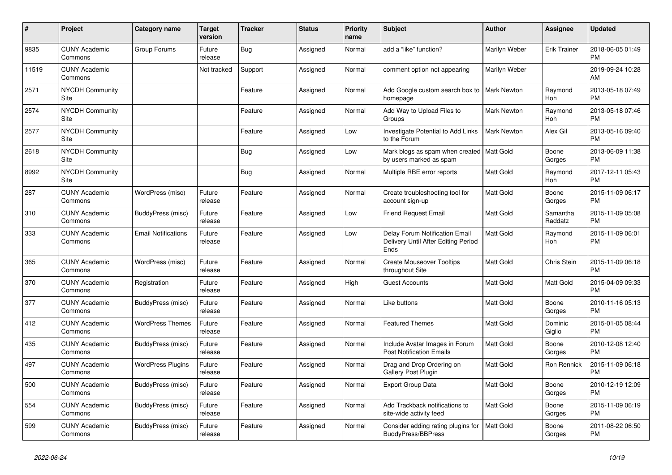| #     | <b>Project</b>                  | Category name              | <b>Target</b><br>version | Tracker    | <b>Status</b> | <b>Priority</b><br>name | <b>Subject</b>                                                                | <b>Author</b>      | Assignee              | <b>Updated</b>                |
|-------|---------------------------------|----------------------------|--------------------------|------------|---------------|-------------------------|-------------------------------------------------------------------------------|--------------------|-----------------------|-------------------------------|
| 9835  | <b>CUNY Academic</b><br>Commons | Group Forums               | Future<br>release        | <b>Bug</b> | Assigned      | Normal                  | add a "like" function?                                                        | Marilyn Weber      | <b>Erik Trainer</b>   | 2018-06-05 01:49<br><b>PM</b> |
| 11519 | <b>CUNY Academic</b><br>Commons |                            | Not tracked              | Support    | Assigned      | Normal                  | comment option not appearing                                                  | Marilyn Weber      |                       | 2019-09-24 10:28<br>AM        |
| 2571  | <b>NYCDH Community</b><br>Site  |                            |                          | Feature    | Assigned      | Normal                  | Add Google custom search box to<br>homepage                                   | <b>Mark Newton</b> | Raymond<br><b>Hoh</b> | 2013-05-18 07:49<br><b>PM</b> |
| 2574  | <b>NYCDH Community</b><br>Site  |                            |                          | Feature    | Assigned      | Normal                  | Add Way to Upload Files to<br>Groups                                          | <b>Mark Newton</b> | Raymond<br>Hoh        | 2013-05-18 07:46<br><b>PM</b> |
| 2577  | <b>NYCDH Community</b><br>Site  |                            |                          | Feature    | Assigned      | Low                     | Investigate Potential to Add Links<br>to the Forum                            | <b>Mark Newton</b> | Alex Gil              | 2013-05-16 09:40<br><b>PM</b> |
| 2618  | <b>NYCDH Community</b><br>Site  |                            |                          | Bug        | Assigned      | Low                     | Mark blogs as spam when created   Matt Gold<br>by users marked as spam        |                    | Boone<br>Gorges       | 2013-06-09 11:38<br><b>PM</b> |
| 8992  | <b>NYCDH Community</b><br>Site  |                            |                          | <b>Bug</b> | Assigned      | Normal                  | Multiple RBE error reports                                                    | Matt Gold          | Raymond<br><b>Hoh</b> | 2017-12-11 05:43<br><b>PM</b> |
| 287   | <b>CUNY Academic</b><br>Commons | WordPress (misc)           | Future<br>release        | Feature    | Assigned      | Normal                  | Create troubleshooting tool for<br>account sign-up                            | Matt Gold          | Boone<br>Gorges       | 2015-11-09 06:17<br><b>PM</b> |
| 310   | <b>CUNY Academic</b><br>Commons | BuddyPress (misc)          | Future<br>release        | Feature    | Assigned      | Low                     | <b>Friend Request Email</b>                                                   | Matt Gold          | Samantha<br>Raddatz   | 2015-11-09 05:08<br><b>PM</b> |
| 333   | <b>CUNY Academic</b><br>Commons | <b>Email Notifications</b> | Future<br>release        | Feature    | Assigned      | Low                     | Delay Forum Notification Email<br>Delivery Until After Editing Period<br>Ends | Matt Gold          | Raymond<br><b>Hoh</b> | 2015-11-09 06:01<br><b>PM</b> |
| 365   | <b>CUNY Academic</b><br>Commons | WordPress (misc)           | Future<br>release        | Feature    | Assigned      | Normal                  | <b>Create Mouseover Tooltips</b><br>throughout Site                           | Matt Gold          | Chris Stein           | 2015-11-09 06:18<br><b>PM</b> |
| 370   | <b>CUNY Academic</b><br>Commons | Registration               | Future<br>release        | Feature    | Assigned      | High                    | Guest Accounts                                                                | Matt Gold          | Matt Gold             | 2015-04-09 09:33<br><b>PM</b> |
| 377   | <b>CUNY Academic</b><br>Commons | BuddyPress (misc)          | Future<br>release        | Feature    | Assigned      | Normal                  | Like buttons                                                                  | Matt Gold          | Boone<br>Gorges       | 2010-11-16 05:13<br><b>PM</b> |
| 412   | <b>CUNY Academic</b><br>Commons | <b>WordPress Themes</b>    | Future<br>release        | Feature    | Assigned      | Normal                  | <b>Featured Themes</b>                                                        | Matt Gold          | Dominic<br>Giglio     | 2015-01-05 08:44<br><b>PM</b> |
| 435   | <b>CUNY Academic</b><br>Commons | BuddyPress (misc)          | Future<br>release        | Feature    | Assigned      | Normal                  | Include Avatar Images in Forum<br><b>Post Notification Emails</b>             | Matt Gold          | Boone<br>Gorges       | 2010-12-08 12:40<br><b>PM</b> |
| 497   | <b>CUNY Academic</b><br>Commons | <b>WordPress Plugins</b>   | Future<br>release        | Feature    | Assigned      | Normal                  | Drag and Drop Ordering on<br>Gallery Post Plugin                              | Matt Gold          | Ron Rennick           | 2015-11-09 06:18<br><b>PM</b> |
| 500   | <b>CUNY Academic</b><br>Commons | BuddyPress (misc)          | Future<br>release        | Feature    | Assigned      | Normal                  | <b>Export Group Data</b>                                                      | Matt Gold          | Boone<br>Gorges       | 2010-12-19 12:09<br><b>PM</b> |
| 554   | <b>CUNY Academic</b><br>Commons | BuddyPress (misc)          | Future<br>release        | Feature    | Assigned      | Normal                  | Add Trackback notifications to<br>site-wide activity feed                     | Matt Gold          | Boone<br>Gorges       | 2015-11-09 06:19<br><b>PM</b> |
| 599   | <b>CUNY Academic</b><br>Commons | BuddyPress (misc)          | Future<br>release        | Feature    | Assigned      | Normal                  | Consider adding rating plugins for<br><b>BuddyPress/BBPress</b>               | Matt Gold          | Boone<br>Gorges       | 2011-08-22 06:50<br><b>PM</b> |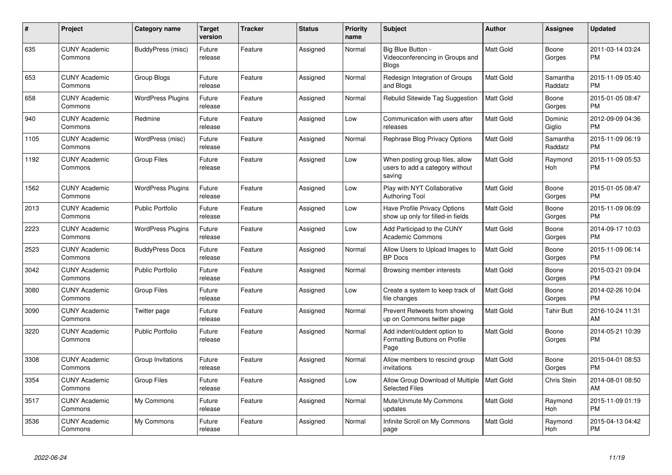| #    | Project                         | <b>Category name</b>     | <b>Target</b><br>version | <b>Tracker</b> | <b>Status</b> | <b>Priority</b><br>name | <b>Subject</b>                                                               | <b>Author</b>    | <b>Assignee</b>       | <b>Updated</b>                |
|------|---------------------------------|--------------------------|--------------------------|----------------|---------------|-------------------------|------------------------------------------------------------------------------|------------------|-----------------------|-------------------------------|
| 635  | <b>CUNY Academic</b><br>Commons | BuddyPress (misc)        | Future<br>release        | Feature        | Assigned      | Normal                  | Big Blue Button -<br>Videoconferencing in Groups and<br><b>Blogs</b>         | Matt Gold        | Boone<br>Gorges       | 2011-03-14 03:24<br><b>PM</b> |
| 653  | <b>CUNY Academic</b><br>Commons | Group Blogs              | Future<br>release        | Feature        | Assigned      | Normal                  | Redesign Integration of Groups<br>and Blogs                                  | Matt Gold        | Samantha<br>Raddatz   | 2015-11-09 05:40<br><b>PM</b> |
| 658  | <b>CUNY Academic</b><br>Commons | <b>WordPress Plugins</b> | Future<br>release        | Feature        | Assigned      | Normal                  | Rebulid Sitewide Tag Suggestion                                              | Matt Gold        | Boone<br>Gorges       | 2015-01-05 08:47<br>PM        |
| 940  | <b>CUNY Academic</b><br>Commons | Redmine                  | Future<br>release        | Feature        | Assigned      | Low                     | Communication with users after<br>releases                                   | Matt Gold        | Dominic<br>Giglio     | 2012-09-09 04:36<br><b>PM</b> |
| 1105 | <b>CUNY Academic</b><br>Commons | WordPress (misc)         | Future<br>release        | Feature        | Assigned      | Normal                  | Rephrase Blog Privacy Options                                                | Matt Gold        | Samantha<br>Raddatz   | 2015-11-09 06:19<br><b>PM</b> |
| 1192 | <b>CUNY Academic</b><br>Commons | <b>Group Files</b>       | Future<br>release        | Feature        | Assigned      | Low                     | When posting group files, allow<br>users to add a category without<br>saving | Matt Gold        | Raymond<br><b>Hoh</b> | 2015-11-09 05:53<br><b>PM</b> |
| 1562 | <b>CUNY Academic</b><br>Commons | <b>WordPress Plugins</b> | Future<br>release        | Feature        | Assigned      | Low                     | Play with NYT Collaborative<br><b>Authoring Tool</b>                         | Matt Gold        | Boone<br>Gorges       | 2015-01-05 08:47<br><b>PM</b> |
| 2013 | <b>CUNY Academic</b><br>Commons | <b>Public Portfolio</b>  | Future<br>release        | Feature        | Assigned      | Low                     | Have Profile Privacy Options<br>show up only for filled-in fields            | Matt Gold        | Boone<br>Gorges       | 2015-11-09 06:09<br>PM        |
| 2223 | <b>CUNY Academic</b><br>Commons | <b>WordPress Plugins</b> | Future<br>release        | Feature        | Assigned      | Low                     | Add Participad to the CUNY<br><b>Academic Commons</b>                        | Matt Gold        | Boone<br>Gorges       | 2014-09-17 10:03<br>PM        |
| 2523 | <b>CUNY Academic</b><br>Commons | <b>BuddyPress Docs</b>   | Future<br>release        | Feature        | Assigned      | Normal                  | Allow Users to Upload Images to<br><b>BP</b> Docs                            | Matt Gold        | Boone<br>Gorges       | 2015-11-09 06:14<br><b>PM</b> |
| 3042 | <b>CUNY Academic</b><br>Commons | <b>Public Portfolio</b>  | Future<br>release        | Feature        | Assigned      | Normal                  | Browsing member interests                                                    | Matt Gold        | Boone<br>Gorges       | 2015-03-21 09:04<br><b>PM</b> |
| 3080 | <b>CUNY Academic</b><br>Commons | <b>Group Files</b>       | Future<br>release        | Feature        | Assigned      | Low                     | Create a system to keep track of<br>file changes                             | Matt Gold        | Boone<br>Gorges       | 2014-02-26 10:04<br><b>PM</b> |
| 3090 | <b>CUNY Academic</b><br>Commons | Twitter page             | Future<br>release        | Feature        | Assigned      | Normal                  | Prevent Retweets from showing<br>up on Commons twitter page                  | Matt Gold        | <b>Tahir Butt</b>     | 2016-10-24 11:31<br>AM        |
| 3220 | <b>CUNY Academic</b><br>Commons | <b>Public Portfolio</b>  | Future<br>release        | Feature        | Assigned      | Normal                  | Add indent/outdent option to<br>Formatting Buttons on Profile<br>Page        | Matt Gold        | Boone<br>Gorges       | 2014-05-21 10:39<br><b>PM</b> |
| 3308 | <b>CUNY Academic</b><br>Commons | Group Invitations        | Future<br>release        | Feature        | Assigned      | Normal                  | Allow members to rescind group<br>invitations                                | Matt Gold        | Boone<br>Gorges       | 2015-04-01 08:53<br><b>PM</b> |
| 3354 | <b>CUNY Academic</b><br>Commons | <b>Group Files</b>       | Future<br>release        | Feature        | Assigned      | Low                     | Allow Group Download of Multiple<br><b>Selected Files</b>                    | <b>Matt Gold</b> | Chris Stein           | 2014-08-01 08:50<br>AM        |
| 3517 | <b>CUNY Academic</b><br>Commons | My Commons               | Future<br>release        | Feature        | Assigned      | Normal                  | Mute/Unmute My Commons<br>updates                                            | Matt Gold        | Raymond<br>Hoh        | 2015-11-09 01:19<br><b>PM</b> |
| 3536 | <b>CUNY Academic</b><br>Commons | My Commons               | Future<br>release        | Feature        | Assigned      | Normal                  | Infinite Scroll on My Commons<br>page                                        | Matt Gold        | Raymond<br>Hoh        | 2015-04-13 04:42<br><b>PM</b> |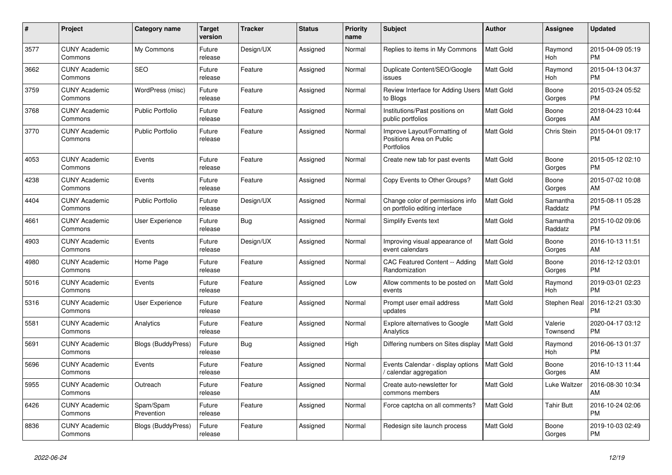| #    | <b>Project</b>                  | <b>Category name</b>      | Target<br>version | Tracker    | <b>Status</b> | <b>Priority</b><br>name | <b>Subject</b>                                                         | <b>Author</b>    | Assignee              | <b>Updated</b>                |
|------|---------------------------------|---------------------------|-------------------|------------|---------------|-------------------------|------------------------------------------------------------------------|------------------|-----------------------|-------------------------------|
| 3577 | <b>CUNY Academic</b><br>Commons | My Commons                | Future<br>release | Design/UX  | Assigned      | Normal                  | Replies to items in My Commons                                         | <b>Matt Gold</b> | Raymond<br><b>Hoh</b> | 2015-04-09 05:19<br><b>PM</b> |
| 3662 | <b>CUNY Academic</b><br>Commons | <b>SEO</b>                | Future<br>release | Feature    | Assigned      | Normal                  | Duplicate Content/SEO/Google<br>issues                                 | <b>Matt Gold</b> | Raymond<br>Hoh        | 2015-04-13 04:37<br><b>PM</b> |
| 3759 | <b>CUNY Academic</b><br>Commons | WordPress (misc)          | Future<br>release | Feature    | Assigned      | Normal                  | Review Interface for Adding Users  <br>to Blogs                        | <b>Matt Gold</b> | Boone<br>Gorges       | 2015-03-24 05:52<br><b>PM</b> |
| 3768 | <b>CUNY Academic</b><br>Commons | <b>Public Portfolio</b>   | Future<br>release | Feature    | Assigned      | Normal                  | Institutions/Past positions on<br>public portfolios                    | Matt Gold        | Boone<br>Gorges       | 2018-04-23 10:44<br>AM        |
| 3770 | <b>CUNY Academic</b><br>Commons | <b>Public Portfolio</b>   | Future<br>release | Feature    | Assigned      | Normal                  | Improve Layout/Formatting of<br>Positions Area on Public<br>Portfolios | Matt Gold        | Chris Stein           | 2015-04-01 09:17<br><b>PM</b> |
| 4053 | <b>CUNY Academic</b><br>Commons | Events                    | Future<br>release | Feature    | Assigned      | Normal                  | Create new tab for past events                                         | <b>Matt Gold</b> | Boone<br>Gorges       | 2015-05-12 02:10<br><b>PM</b> |
| 4238 | <b>CUNY Academic</b><br>Commons | Events                    | Future<br>release | Feature    | Assigned      | Normal                  | Copy Events to Other Groups?                                           | Matt Gold        | Boone<br>Gorges       | 2015-07-02 10:08<br>AM        |
| 4404 | <b>CUNY Academic</b><br>Commons | <b>Public Portfolio</b>   | Future<br>release | Design/UX  | Assigned      | Normal                  | Change color of permissions info<br>on portfolio editing interface     | Matt Gold        | Samantha<br>Raddatz   | 2015-08-11 05:28<br><b>PM</b> |
| 4661 | <b>CUNY Academic</b><br>Commons | User Experience           | Future<br>release | <b>Bug</b> | Assigned      | Normal                  | Simplify Events text                                                   | <b>Matt Gold</b> | Samantha<br>Raddatz   | 2015-10-02 09:06<br><b>PM</b> |
| 4903 | <b>CUNY Academic</b><br>Commons | Events                    | Future<br>release | Design/UX  | Assigned      | Normal                  | Improving visual appearance of<br>event calendars                      | Matt Gold        | Boone<br>Gorges       | 2016-10-13 11:51<br>AM        |
| 4980 | <b>CUNY Academic</b><br>Commons | Home Page                 | Future<br>release | Feature    | Assigned      | Normal                  | CAC Featured Content -- Adding<br>Randomization                        | Matt Gold        | Boone<br>Gorges       | 2016-12-12 03:01<br><b>PM</b> |
| 5016 | <b>CUNY Academic</b><br>Commons | Events                    | Future<br>release | Feature    | Assigned      | Low                     | Allow comments to be posted on<br>events                               | <b>Matt Gold</b> | Raymond<br>Hoh        | 2019-03-01 02:23<br><b>PM</b> |
| 5316 | <b>CUNY Academic</b><br>Commons | <b>User Experience</b>    | Future<br>release | Feature    | Assigned      | Normal                  | Prompt user email address<br>updates                                   | Matt Gold        | Stephen Real          | 2016-12-21 03:30<br><b>PM</b> |
| 5581 | <b>CUNY Academic</b><br>Commons | Analytics                 | Future<br>release | Feature    | Assigned      | Normal                  | <b>Explore alternatives to Google</b><br>Analytics                     | <b>Matt Gold</b> | Valerie<br>Townsend   | 2020-04-17 03:12<br><b>PM</b> |
| 5691 | <b>CUNY Academic</b><br>Commons | <b>Blogs (BuddyPress)</b> | Future<br>release | Bug        | Assigned      | High                    | Differing numbers on Sites display                                     | <b>Matt Gold</b> | Raymond<br>Hoh        | 2016-06-13 01:37<br><b>PM</b> |
| 5696 | <b>CUNY Academic</b><br>Commons | Events                    | Future<br>release | Feature    | Assigned      | Normal                  | Events Calendar - display options<br>calendar aggregation              | <b>Matt Gold</b> | Boone<br>Gorges       | 2016-10-13 11:44<br>AM        |
| 5955 | <b>CUNY Academic</b><br>Commons | Outreach                  | Future<br>release | Feature    | Assigned      | Normal                  | Create auto-newsletter for<br>commons members                          | Matt Gold        | Luke Waltzer          | 2016-08-30 10:34<br>AM        |
| 6426 | <b>CUNY Academic</b><br>Commons | Spam/Spam<br>Prevention   | Future<br>release | Feature    | Assigned      | Normal                  | Force captcha on all comments?                                         | <b>Matt Gold</b> | <b>Tahir Butt</b>     | 2016-10-24 02:06<br><b>PM</b> |
| 8836 | <b>CUNY Academic</b><br>Commons | <b>Blogs (BuddyPress)</b> | Future<br>release | Feature    | Assigned      | Normal                  | Redesign site launch process                                           | Matt Gold        | Boone<br>Gorges       | 2019-10-03 02:49<br>PM        |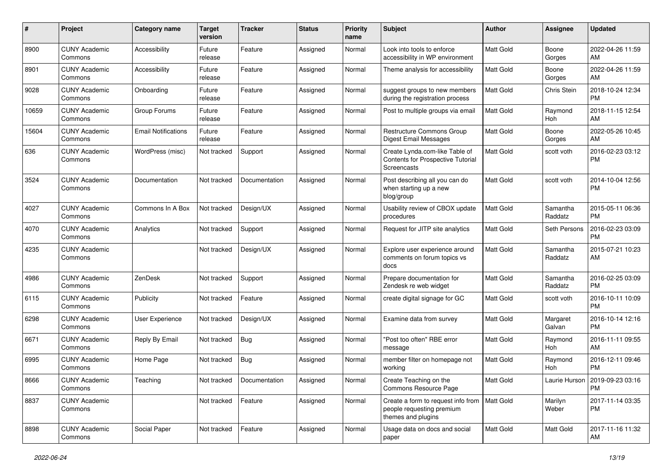| #     | Project                         | <b>Category name</b>       | <b>Target</b><br>version | <b>Tracker</b>              | <b>Status</b> | <b>Priority</b><br>name | <b>Subject</b>                                                                                    | <b>Author</b>    | Assignee            | <b>Updated</b>                                |
|-------|---------------------------------|----------------------------|--------------------------|-----------------------------|---------------|-------------------------|---------------------------------------------------------------------------------------------------|------------------|---------------------|-----------------------------------------------|
| 8900  | <b>CUNY Academic</b><br>Commons | Accessibility              | Future<br>release        | Feature                     | Assigned      | Normal                  | Look into tools to enforce<br>accessibility in WP environment                                     | Matt Gold        | Boone<br>Gorges     | 2022-04-26 11:59<br>AM                        |
| 8901  | <b>CUNY Academic</b><br>Commons | Accessibility              | Future<br>release        | Feature                     | Assigned      | Normal                  | Theme analysis for accessibility                                                                  | <b>Matt Gold</b> | Boone<br>Gorges     | 2022-04-26 11:59<br>AM                        |
| 9028  | <b>CUNY Academic</b><br>Commons | Onboarding                 | Future<br>release        | Feature                     | Assigned      | Normal                  | suggest groups to new members<br>during the registration process                                  | Matt Gold        | Chris Stein         | 2018-10-24 12:34<br>PM                        |
| 10659 | <b>CUNY Academic</b><br>Commons | Group Forums               | Future<br>release        | Feature                     | Assigned      | Normal                  | Post to multiple groups via email                                                                 | <b>Matt Gold</b> | Raymond<br>Hoh      | 2018-11-15 12:54<br>AM                        |
| 15604 | <b>CUNY Academic</b><br>Commons | <b>Email Notifications</b> | Future<br>release        | Feature                     | Assigned      | Normal                  | <b>Restructure Commons Group</b><br><b>Digest Email Messages</b>                                  | <b>Matt Gold</b> | Boone<br>Gorges     | 2022-05-26 10:45<br>AM                        |
| 636   | <b>CUNY Academic</b><br>Commons | WordPress (misc)           | Not tracked              | Support                     | Assigned      | Normal                  | Create Lynda.com-like Table of<br>Contents for Prospective Tutorial<br>Screencasts                | Matt Gold        | scott voth          | 2016-02-23 03:12<br><b>PM</b>                 |
| 3524  | <b>CUNY Academic</b><br>Commons | Documentation              | Not tracked              | Documentation               | Assigned      | Normal                  | Post describing all you can do<br>when starting up a new<br>blog/group                            | <b>Matt Gold</b> | scott voth          | 2014-10-04 12:56<br><b>PM</b>                 |
| 4027  | <b>CUNY Academic</b><br>Commons | Commons In A Box           | Not tracked              | Design/UX                   | Assigned      | Normal                  | Usability review of CBOX update<br>procedures                                                     | Matt Gold        | Samantha<br>Raddatz | 2015-05-11 06:36<br><b>PM</b>                 |
| 4070  | <b>CUNY Academic</b><br>Commons | Analytics                  | Not tracked              | Support                     | Assigned      | Normal                  | Request for JITP site analytics                                                                   | Matt Gold        | Seth Persons        | 2016-02-23 03:09<br><b>PM</b>                 |
| 4235  | <b>CUNY Academic</b><br>Commons |                            | Not tracked              | Design/UX                   | Assigned      | Normal                  | Explore user experience around<br>comments on forum topics vs<br>docs                             | Matt Gold        | Samantha<br>Raddatz | 2015-07-21 10:23<br>AM                        |
| 4986  | <b>CUNY Academic</b><br>Commons | ZenDesk                    | Not tracked              | Support                     | Assigned      | Normal                  | Prepare documentation for<br>Zendesk re web widget                                                | Matt Gold        | Samantha<br>Raddatz | 2016-02-25 03:09<br><b>PM</b>                 |
| 6115  | <b>CUNY Academic</b><br>Commons | Publicity                  | Not tracked              | Feature                     | Assigned      | Normal                  | create digital signage for GC                                                                     | Matt Gold        | scott voth          | 2016-10-11 10:09<br><b>PM</b>                 |
| 6298  | <b>CUNY Academic</b><br>Commons | User Experience            | Not tracked              | Design/UX                   | Assigned      | Normal                  | Examine data from survey                                                                          | Matt Gold        | Margaret<br>Galvan  | 2016-10-14 12:16<br><b>PM</b>                 |
| 6671  | <b>CUNY Academic</b><br>Commons | Reply By Email             | Not tracked              | <b>Bug</b>                  | Assigned      | Normal                  | "Post too often" RBE error<br>message                                                             | Matt Gold        | Raymond<br>Hoh      | 2016-11-11 09:55<br>AM                        |
| 6995  | <b>CUNY Academic</b><br>Commons | Home Page                  | Not tracked              | <b>Bug</b>                  | Assigned      | Normal                  | member filter on homepage not<br>working                                                          | Matt Gold        | Raymond<br>Hoh      | 2016-12-11 09:46<br><b>PM</b>                 |
| 8666  | <b>CUNY Academic</b><br>Commons | Teaching                   |                          | Not tracked   Documentation | Assigned      | Normal                  | Create Teaching on the<br>Commons Resource Page                                                   | Matt Gold        |                     | Laurie Hurson   2019-09-23 03:16<br><b>PM</b> |
| 8837  | <b>CUNY Academic</b><br>Commons |                            | Not tracked              | Feature                     | Assigned      | Normal                  | Create a form to request info from   Matt Gold<br>people requesting premium<br>themes and plugins |                  | Marilyn<br>Weber    | 2017-11-14 03:35<br><b>PM</b>                 |
| 8898  | <b>CUNY Academic</b><br>Commons | Social Paper               | Not tracked              | Feature                     | Assigned      | Normal                  | Usage data on docs and social<br>paper                                                            | Matt Gold        | Matt Gold           | 2017-11-16 11:32<br>AM                        |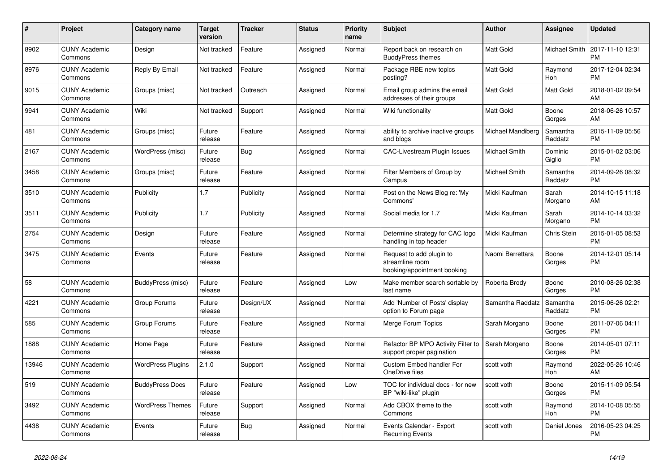| $\pmb{\#}$ | <b>Project</b>                  | Category name            | <b>Target</b><br>version | <b>Tracker</b> | <b>Status</b> | <b>Priority</b><br>name | <b>Subject</b>                                                             | <b>Author</b>     | <b>Assignee</b>       | <b>Updated</b>                |
|------------|---------------------------------|--------------------------|--------------------------|----------------|---------------|-------------------------|----------------------------------------------------------------------------|-------------------|-----------------------|-------------------------------|
| 8902       | <b>CUNY Academic</b><br>Commons | Design                   | Not tracked              | Feature        | Assigned      | Normal                  | Report back on research on<br><b>BuddyPress themes</b>                     | <b>Matt Gold</b>  | Michael Smith         | 2017-11-10 12:31<br><b>PM</b> |
| 8976       | <b>CUNY Academic</b><br>Commons | Reply By Email           | Not tracked              | Feature        | Assigned      | Normal                  | Package RBE new topics<br>posting?                                         | <b>Matt Gold</b>  | Raymond<br>Hoh        | 2017-12-04 02:34<br><b>PM</b> |
| 9015       | <b>CUNY Academic</b><br>Commons | Groups (misc)            | Not tracked              | Outreach       | Assigned      | Normal                  | Email group admins the email<br>addresses of their groups                  | Matt Gold         | Matt Gold             | 2018-01-02 09:54<br>AM        |
| 9941       | <b>CUNY Academic</b><br>Commons | Wiki                     | Not tracked              | Support        | Assigned      | Normal                  | Wiki functionality                                                         | <b>Matt Gold</b>  | Boone<br>Gorges       | 2018-06-26 10:57<br>AM        |
| 481        | <b>CUNY Academic</b><br>Commons | Groups (misc)            | Future<br>release        | Feature        | Assigned      | Normal                  | ability to archive inactive groups<br>and blogs                            | Michael Mandiberg | Samantha<br>Raddatz   | 2015-11-09 05:56<br><b>PM</b> |
| 2167       | <b>CUNY Academic</b><br>Commons | WordPress (misc)         | Future<br>release        | Bug            | Assigned      | Normal                  | <b>CAC-Livestream Plugin Issues</b>                                        | Michael Smith     | Dominic<br>Giglio     | 2015-01-02 03:06<br><b>PM</b> |
| 3458       | <b>CUNY Academic</b><br>Commons | Groups (misc)            | Future<br>release        | Feature        | Assigned      | Normal                  | Filter Members of Group by<br>Campus                                       | Michael Smith     | Samantha<br>Raddatz   | 2014-09-26 08:32<br><b>PM</b> |
| 3510       | <b>CUNY Academic</b><br>Commons | Publicity                | 1.7                      | Publicity      | Assigned      | Normal                  | Post on the News Blog re: 'My<br>Commons'                                  | Micki Kaufman     | Sarah<br>Morgano      | 2014-10-15 11:18<br>AM        |
| 3511       | <b>CUNY Academic</b><br>Commons | Publicity                | 1.7                      | Publicity      | Assigned      | Normal                  | Social media for 1.7                                                       | Micki Kaufman     | Sarah<br>Morgano      | 2014-10-14 03:32<br><b>PM</b> |
| 2754       | <b>CUNY Academic</b><br>Commons | Design                   | Future<br>release        | Feature        | Assigned      | Normal                  | Determine strategy for CAC logo<br>handling in top header                  | Micki Kaufman     | Chris Stein           | 2015-01-05 08:53<br><b>PM</b> |
| 3475       | <b>CUNY Academic</b><br>Commons | Events                   | Future<br>release        | Feature        | Assigned      | Normal                  | Request to add plugin to<br>streamline room<br>booking/appointment booking | Naomi Barrettara  | Boone<br>Gorges       | 2014-12-01 05:14<br><b>PM</b> |
| 58         | <b>CUNY Academic</b><br>Commons | BuddyPress (misc)        | Future<br>release        | Feature        | Assigned      | Low                     | Make member search sortable by<br>last name                                | Roberta Brody     | Boone<br>Gorges       | 2010-08-26 02:38<br><b>PM</b> |
| 4221       | <b>CUNY Academic</b><br>Commons | Group Forums             | Future<br>release        | Design/UX      | Assigned      | Normal                  | Add 'Number of Posts' display<br>option to Forum page                      | Samantha Raddatz  | Samantha<br>Raddatz   | 2015-06-26 02:21<br><b>PM</b> |
| 585        | <b>CUNY Academic</b><br>Commons | Group Forums             | Future<br>release        | Feature        | Assigned      | Normal                  | Merge Forum Topics                                                         | Sarah Morgano     | Boone<br>Gorges       | 2011-07-06 04:11<br><b>PM</b> |
| 1888       | <b>CUNY Academic</b><br>Commons | Home Page                | Future<br>release        | Feature        | Assigned      | Normal                  | Refactor BP MPO Activity Filter to<br>support proper pagination            | Sarah Morgano     | Boone<br>Gorges       | 2014-05-01 07:11<br><b>PM</b> |
| 13946      | <b>CUNY Academic</b><br>Commons | <b>WordPress Plugins</b> | 2.1.0                    | Support        | Assigned      | Normal                  | Custom Embed handler For<br>OneDrive files                                 | scott voth        | Raymond<br>Hoh        | 2022-05-26 10:46<br>AM        |
| 519        | <b>CUNY Academic</b><br>Commons | <b>BuddyPress Docs</b>   | Future<br>release        | Feature        | Assigned      | Low                     | TOC for individual docs - for new<br>BP "wiki-like" plugin                 | scott voth        | Boone<br>Gorges       | 2015-11-09 05:54<br><b>PM</b> |
| 3492       | <b>CUNY Academic</b><br>Commons | <b>WordPress Themes</b>  | Future<br>release        | Support        | Assigned      | Normal                  | Add CBOX theme to the<br>Commons                                           | scott voth        | Raymond<br><b>Hoh</b> | 2014-10-08 05:55<br><b>PM</b> |
| 4438       | <b>CUNY Academic</b><br>Commons | Events                   | Future<br>release        | <b>Bug</b>     | Assigned      | Normal                  | Events Calendar - Export<br><b>Recurring Events</b>                        | scott voth        | Daniel Jones          | 2016-05-23 04:25<br><b>PM</b> |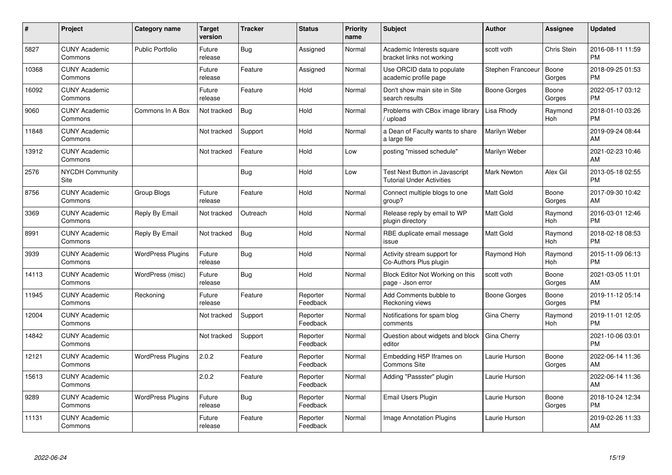| #     | <b>Project</b>                  | <b>Category name</b>     | <b>Target</b><br>version | Tracker    | <b>Status</b>        | <b>Priority</b><br>name | <b>Subject</b>                                                            | <b>Author</b>       | Assignee        | <b>Updated</b>                |
|-------|---------------------------------|--------------------------|--------------------------|------------|----------------------|-------------------------|---------------------------------------------------------------------------|---------------------|-----------------|-------------------------------|
| 5827  | <b>CUNY Academic</b><br>Commons | <b>Public Portfolio</b>  | Future<br>release        | <b>Bug</b> | Assigned             | Normal                  | Academic Interests square<br>bracket links not working                    | scott voth          | Chris Stein     | 2016-08-11 11:59<br><b>PM</b> |
| 10368 | <b>CUNY Academic</b><br>Commons |                          | Future<br>release        | Feature    | Assigned             | Normal                  | Use ORCID data to populate<br>academic profile page                       | Stephen Francoeur   | Boone<br>Gorges | 2018-09-25 01:53<br><b>PM</b> |
| 16092 | <b>CUNY Academic</b><br>Commons |                          | Future<br>release        | Feature    | Hold                 | Normal                  | Don't show main site in Site<br>search results                            | Boone Gorges        | Boone<br>Gorges | 2022-05-17 03:12<br><b>PM</b> |
| 9060  | <b>CUNY Academic</b><br>Commons | Commons In A Box         | Not tracked              | <b>Bug</b> | Hold                 | Normal                  | Problems with CBox image library<br>upload                                | Lisa Rhody          | Raymond<br>Hoh  | 2018-01-10 03:26<br><b>PM</b> |
| 11848 | <b>CUNY Academic</b><br>Commons |                          | Not tracked              | Support    | Hold                 | Normal                  | a Dean of Faculty wants to share<br>a large file                          | Marilyn Weber       |                 | 2019-09-24 08:44<br>AM        |
| 13912 | <b>CUNY Academic</b><br>Commons |                          | Not tracked              | Feature    | Hold                 | Low                     | posting "missed schedule"                                                 | Marilyn Weber       |                 | 2021-02-23 10:46<br>AM        |
| 2576  | <b>NYCDH Community</b><br>Site  |                          |                          | <b>Bug</b> | Hold                 | Low                     | <b>Test Next Button in Javascript</b><br><b>Tutorial Under Activities</b> | <b>Mark Newton</b>  | Alex Gil        | 2013-05-18 02:55<br><b>PM</b> |
| 8756  | <b>CUNY Academic</b><br>Commons | Group Blogs              | Future<br>release        | Feature    | Hold                 | Normal                  | Connect multiple blogs to one<br>group?                                   | <b>Matt Gold</b>    | Boone<br>Gorges | 2017-09-30 10:42<br>AM        |
| 3369  | <b>CUNY Academic</b><br>Commons | Reply By Email           | Not tracked              | Outreach   | Hold                 | Normal                  | Release reply by email to WP<br>plugin directory                          | Matt Gold           | Raymond<br>Hoh  | 2016-03-01 12:46<br><b>PM</b> |
| 8991  | <b>CUNY Academic</b><br>Commons | Reply By Email           | Not tracked              | Bug        | Hold                 | Normal                  | RBE duplicate email message<br>issue                                      | <b>Matt Gold</b>    | Raymond<br>Hoh  | 2018-02-18 08:53<br><b>PM</b> |
| 3939  | <b>CUNY Academic</b><br>Commons | <b>WordPress Plugins</b> | Future<br>release        | <b>Bug</b> | Hold                 | Normal                  | Activity stream support for<br>Co-Authors Plus plugin                     | Raymond Hoh         | Raymond<br>Hoh  | 2015-11-09 06:13<br>PM        |
| 14113 | <b>CUNY Academic</b><br>Commons | WordPress (misc)         | Future<br>release        | <b>Bug</b> | Hold                 | Normal                  | Block Editor Not Working on this<br>page - Json error                     | scott voth          | Boone<br>Gorges | 2021-03-05 11:01<br>AM        |
| 11945 | <b>CUNY Academic</b><br>Commons | Reckoning                | Future<br>release        | Feature    | Reporter<br>Feedback | Normal                  | Add Comments bubble to<br>Reckoning views                                 | <b>Boone Gorges</b> | Boone<br>Gorges | 2019-11-12 05:14<br><b>PM</b> |
| 12004 | <b>CUNY Academic</b><br>Commons |                          | Not tracked              | Support    | Reporter<br>Feedback | Normal                  | Notifications for spam blog<br>comments                                   | Gina Cherry         | Raymond<br>Hoh  | 2019-11-01 12:05<br><b>PM</b> |
| 14842 | <b>CUNY Academic</b><br>Commons |                          | Not tracked              | Support    | Reporter<br>Feedback | Normal                  | Question about widgets and block<br>editor                                | Gina Cherry         |                 | 2021-10-06 03:01<br><b>PM</b> |
| 12121 | <b>CUNY Academic</b><br>Commons | <b>WordPress Plugins</b> | 2.0.2                    | Feature    | Reporter<br>Feedback | Normal                  | Embedding H5P Iframes on<br>Commons Site                                  | Laurie Hurson       | Boone<br>Gorges | 2022-06-14 11:36<br>AM        |
| 15613 | <b>CUNY Academic</b><br>Commons |                          | 2.0.2                    | Feature    | Reporter<br>Feedback | Normal                  | Adding "Passster" plugin                                                  | Laurie Hurson       |                 | 2022-06-14 11:36<br>AM        |
| 9289  | <b>CUNY Academic</b><br>Commons | <b>WordPress Plugins</b> | Future<br>release        | <b>Bug</b> | Reporter<br>Feedback | Normal                  | Email Users Plugin                                                        | Laurie Hurson       | Boone<br>Gorges | 2018-10-24 12:34<br><b>PM</b> |
| 11131 | <b>CUNY Academic</b><br>Commons |                          | Future<br>release        | Feature    | Reporter<br>Feedback | Normal                  | <b>Image Annotation Plugins</b>                                           | Laurie Hurson       |                 | 2019-02-26 11:33<br>AM        |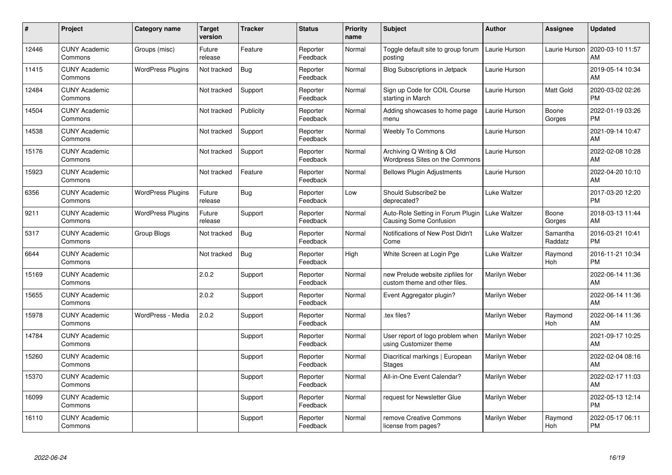| #     | Project                         | <b>Category name</b>     | <b>Target</b><br>version | <b>Tracker</b> | <b>Status</b>        | <b>Priority</b><br>name | <b>Subject</b>                                                     | Author              | <b>Assignee</b>     | <b>Updated</b>                |
|-------|---------------------------------|--------------------------|--------------------------|----------------|----------------------|-------------------------|--------------------------------------------------------------------|---------------------|---------------------|-------------------------------|
| 12446 | <b>CUNY Academic</b><br>Commons | Groups (misc)            | Future<br>release        | Feature        | Reporter<br>Feedback | Normal                  | Toggle default site to group forum<br>posting                      | Laurie Hurson       | Laurie Hurson       | 2020-03-10 11:57<br>AM        |
| 11415 | <b>CUNY Academic</b><br>Commons | <b>WordPress Plugins</b> | Not tracked              | Bug            | Reporter<br>Feedback | Normal                  | <b>Blog Subscriptions in Jetpack</b>                               | Laurie Hurson       |                     | 2019-05-14 10:34<br>AM        |
| 12484 | <b>CUNY Academic</b><br>Commons |                          | Not tracked              | Support        | Reporter<br>Feedback | Normal                  | Sign up Code for COIL Course<br>starting in March                  | Laurie Hurson       | Matt Gold           | 2020-03-02 02:26<br>PM        |
| 14504 | <b>CUNY Academic</b><br>Commons |                          | Not tracked              | Publicity      | Reporter<br>Feedback | Normal                  | Adding showcases to home page<br>menu                              | Laurie Hurson       | Boone<br>Gorges     | 2022-01-19 03:26<br><b>PM</b> |
| 14538 | <b>CUNY Academic</b><br>Commons |                          | Not tracked              | Support        | Reporter<br>Feedback | Normal                  | Weebly To Commons                                                  | Laurie Hurson       |                     | 2021-09-14 10:47<br>AM        |
| 15176 | <b>CUNY Academic</b><br>Commons |                          | Not tracked              | Support        | Reporter<br>Feedback | Normal                  | Archiving Q Writing & Old<br>Wordpress Sites on the Commons        | Laurie Hurson       |                     | 2022-02-08 10:28<br>AM        |
| 15923 | <b>CUNY Academic</b><br>Commons |                          | Not tracked              | Feature        | Reporter<br>Feedback | Normal                  | <b>Bellows Plugin Adjustments</b>                                  | Laurie Hurson       |                     | 2022-04-20 10:10<br>AM        |
| 6356  | <b>CUNY Academic</b><br>Commons | <b>WordPress Plugins</b> | Future<br>release        | Bug            | Reporter<br>Feedback | Low                     | Should Subscribe2 be<br>deprecated?                                | Luke Waltzer        |                     | 2017-03-20 12:20<br><b>PM</b> |
| 9211  | <b>CUNY Academic</b><br>Commons | <b>WordPress Plugins</b> | Future<br>release        | Support        | Reporter<br>Feedback | Normal                  | Auto-Role Setting in Forum Plugin<br><b>Causing Some Confusion</b> | <b>Luke Waltzer</b> | Boone<br>Gorges     | 2018-03-13 11:44<br>AM        |
| 5317  | <b>CUNY Academic</b><br>Commons | <b>Group Blogs</b>       | Not tracked              | Bug            | Reporter<br>Feedback | Normal                  | Notifications of New Post Didn't<br>Come                           | Luke Waltzer        | Samantha<br>Raddatz | 2016-03-21 10:41<br><b>PM</b> |
| 6644  | <b>CUNY Academic</b><br>Commons |                          | Not tracked              | Bug            | Reporter<br>Feedback | High                    | White Screen at Login Pge                                          | Luke Waltzer        | Raymond<br>Hoh      | 2016-11-21 10:34<br><b>PM</b> |
| 15169 | <b>CUNY Academic</b><br>Commons |                          | 2.0.2                    | Support        | Reporter<br>Feedback | Normal                  | new Prelude website zipfiles for<br>custom theme and other files.  | Marilyn Weber       |                     | 2022-06-14 11:36<br>AM        |
| 15655 | <b>CUNY Academic</b><br>Commons |                          | 2.0.2                    | Support        | Reporter<br>Feedback | Normal                  | Event Aggregator plugin?                                           | Marilyn Weber       |                     | 2022-06-14 11:36<br>AM        |
| 15978 | <b>CUNY Academic</b><br>Commons | WordPress - Media        | 2.0.2                    | Support        | Reporter<br>Feedback | Normal                  | tex files?                                                         | Marilyn Weber       | Raymond<br>Hoh      | 2022-06-14 11:36<br>AM        |
| 14784 | <b>CUNY Academic</b><br>Commons |                          |                          | Support        | Reporter<br>Feedback | Normal                  | User report of logo problem when<br>using Customizer theme         | Marilyn Weber       |                     | 2021-09-17 10:25<br>AM        |
| 15260 | <b>CUNY Academic</b><br>Commons |                          |                          | Support        | Reporter<br>Feedback | Normal                  | Diacritical markings   European<br><b>Stages</b>                   | Marilyn Weber       |                     | 2022-02-04 08:16<br>AM        |
| 15370 | <b>CUNY Academic</b><br>Commons |                          |                          | Support        | Reporter<br>Feedback | Normal                  | All-in-One Event Calendar?                                         | Marilyn Weber       |                     | 2022-02-17 11:03<br>AM        |
| 16099 | <b>CUNY Academic</b><br>Commons |                          |                          | Support        | Reporter<br>Feedback | Normal                  | request for Newsletter Glue                                        | Marilyn Weber       |                     | 2022-05-13 12:14<br><b>PM</b> |
| 16110 | <b>CUNY Academic</b><br>Commons |                          |                          | Support        | Reporter<br>Feedback | Normal                  | remove Creative Commons<br>license from pages?                     | Marilyn Weber       | Raymond<br>Hoh      | 2022-05-17 06:11<br><b>PM</b> |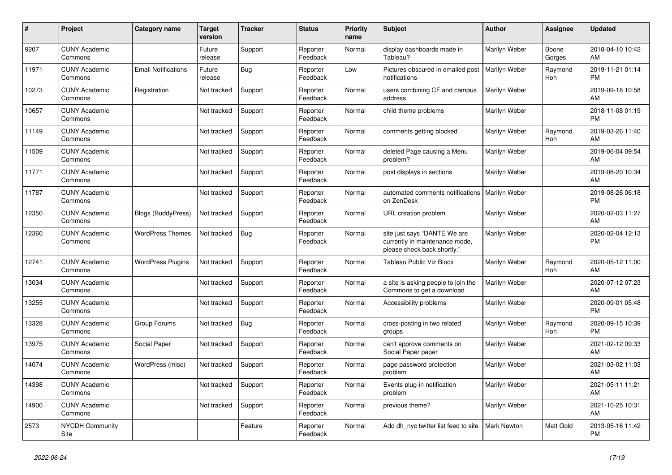| #     | <b>Project</b>                  | <b>Category name</b>       | <b>Target</b><br>version | Tracker | <b>Status</b>        | <b>Priority</b><br>name | <b>Subject</b>                                                                                | Author               | Assignee        | <b>Updated</b>                |
|-------|---------------------------------|----------------------------|--------------------------|---------|----------------------|-------------------------|-----------------------------------------------------------------------------------------------|----------------------|-----------------|-------------------------------|
| 9207  | <b>CUNY Academic</b><br>Commons |                            | Future<br>release        | Support | Reporter<br>Feedback | Normal                  | display dashboards made in<br>Tableau?                                                        | Marilyn Weber        | Boone<br>Gorges | 2018-04-10 10:42<br>AM        |
| 11971 | <b>CUNY Academic</b><br>Commons | <b>Email Notifications</b> | Future<br>release        | Bug     | Reporter<br>Feedback | Low                     | Pictures obscured in emailed post<br>notifications                                            | Marilyn Weber        | Raymond<br>Hoh  | 2019-11-21 01:14<br><b>PM</b> |
| 10273 | <b>CUNY Academic</b><br>Commons | Registration               | Not tracked              | Support | Reporter<br>Feedback | Normal                  | users combining CF and campus<br>address                                                      | Marilyn Weber        |                 | 2019-09-18 10:58<br>AM        |
| 10657 | <b>CUNY Academic</b><br>Commons |                            | Not tracked              | Support | Reporter<br>Feedback | Normal                  | child theme problems                                                                          | Marilyn Weber        |                 | 2018-11-08 01:19<br><b>PM</b> |
| 11149 | <b>CUNY Academic</b><br>Commons |                            | Not tracked              | Support | Reporter<br>Feedback | Normal                  | comments getting blocked                                                                      | Marilyn Weber        | Raymond<br>Hoh  | 2019-03-26 11:40<br>AM        |
| 11509 | <b>CUNY Academic</b><br>Commons |                            | Not tracked              | Support | Reporter<br>Feedback | Normal                  | deleted Page causing a Menu<br>problem?                                                       | Marilyn Weber        |                 | 2019-06-04 09:54<br>AM        |
| 11771 | <b>CUNY Academic</b><br>Commons |                            | Not tracked              | Support | Reporter<br>Feedback | Normal                  | post displays in sections                                                                     | Marilyn Weber        |                 | 2019-08-20 10:34<br>AM        |
| 11787 | <b>CUNY Academic</b><br>Commons |                            | Not tracked              | Support | Reporter<br>Feedback | Normal                  | automated comments notifications<br>on ZenDesk                                                | <b>Marilyn Weber</b> |                 | 2019-08-26 06:18<br><b>PM</b> |
| 12350 | <b>CUNY Academic</b><br>Commons | Blogs (BuddyPress)         | Not tracked              | Support | Reporter<br>Feedback | Normal                  | URL creation problem                                                                          | Marilyn Weber        |                 | 2020-02-03 11:27<br>AM        |
| 12360 | <b>CUNY Academic</b><br>Commons | <b>WordPress Themes</b>    | Not tracked              | Bug     | Reporter<br>Feedback | Normal                  | site just says "DANTE We are<br>currently in maintenance mode,<br>please check back shortly." | Marilyn Weber        |                 | 2020-02-04 12:13<br><b>PM</b> |
| 12741 | <b>CUNY Academic</b><br>Commons | <b>WordPress Plugins</b>   | Not tracked              | Support | Reporter<br>Feedback | Normal                  | <b>Tableau Public Viz Block</b>                                                               | Marilyn Weber        | Raymond<br>Hoh  | 2020-05-12 11:00<br>AM        |
| 13034 | <b>CUNY Academic</b><br>Commons |                            | Not tracked              | Support | Reporter<br>Feedback | Normal                  | a site is asking people to join the<br>Commons to get a download                              | Marilyn Weber        |                 | 2020-07-12 07:23<br>AM        |
| 13255 | <b>CUNY Academic</b><br>Commons |                            | Not tracked              | Support | Reporter<br>Feedback | Normal                  | Accessibility problems                                                                        | Marilyn Weber        |                 | 2020-09-01 05:48<br><b>PM</b> |
| 13328 | <b>CUNY Academic</b><br>Commons | Group Forums               | Not tracked              | Bug     | Reporter<br>Feedback | Normal                  | cross-posting in two related<br>groups                                                        | Marilyn Weber        | Raymond<br>Hoh  | 2020-09-15 10:39<br><b>PM</b> |
| 13975 | <b>CUNY Academic</b><br>Commons | Social Paper               | Not tracked              | Support | Reporter<br>Feedback | Normal                  | can't approve comments on<br>Social Paper paper                                               | Marilyn Weber        |                 | 2021-02-12 09:33<br>AM        |
| 14074 | <b>CUNY Academic</b><br>Commons | WordPress (misc)           | Not tracked              | Support | Reporter<br>Feedback | Normal                  | page password protection<br>problem                                                           | Marilyn Weber        |                 | 2021-03-02 11:03<br>AM        |
| 14398 | <b>CUNY Academic</b><br>Commons |                            | Not tracked              | Support | Reporter<br>Feedback | Normal                  | Events plug-in notification<br>problem                                                        | Marilyn Weber        |                 | 2021-05-11 11:21<br>AM        |
| 14900 | <b>CUNY Academic</b><br>Commons |                            | Not tracked              | Support | Reporter<br>Feedback | Normal                  | previous theme?                                                                               | Marilyn Weber        |                 | 2021-10-25 10:31<br>AM        |
| 2573  | <b>NYCDH Community</b><br>Site  |                            |                          | Feature | Reporter<br>Feedback | Normal                  | Add dh_nyc twitter list feed to site                                                          | <b>Mark Newton</b>   | Matt Gold       | 2013-05-16 11:42<br><b>PM</b> |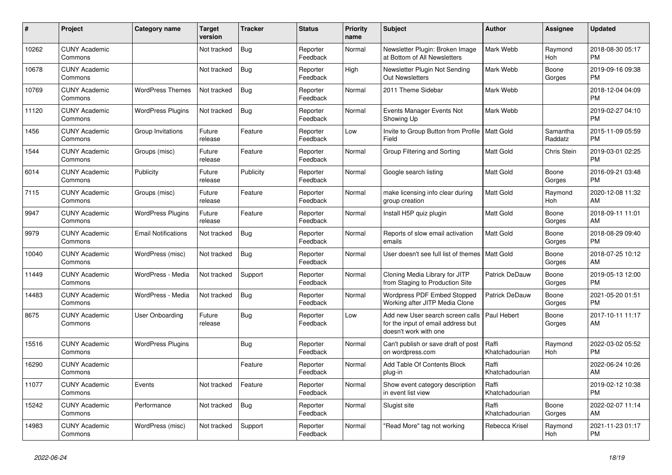| #     | <b>Project</b>                  | <b>Category name</b>       | <b>Target</b><br>version | Tracker    | <b>Status</b>        | <b>Priority</b><br>name | <b>Subject</b>                                                                                  | <b>Author</b>           | Assignee              | <b>Updated</b>                |
|-------|---------------------------------|----------------------------|--------------------------|------------|----------------------|-------------------------|-------------------------------------------------------------------------------------------------|-------------------------|-----------------------|-------------------------------|
| 10262 | <b>CUNY Academic</b><br>Commons |                            | Not tracked              | <b>Bug</b> | Reporter<br>Feedback | Normal                  | Newsletter Plugin: Broken Image<br>at Bottom of All Newsletters                                 | Mark Webb               | Raymond<br><b>Hoh</b> | 2018-08-30 05:17<br><b>PM</b> |
| 10678 | <b>CUNY Academic</b><br>Commons |                            | Not tracked              | <b>Bug</b> | Reporter<br>Feedback | High                    | Newsletter Plugin Not Sending<br><b>Out Newsletters</b>                                         | Mark Webb               | Boone<br>Gorges       | 2019-09-16 09:38<br><b>PM</b> |
| 10769 | <b>CUNY Academic</b><br>Commons | <b>WordPress Themes</b>    | Not tracked              | Bug        | Reporter<br>Feedback | Normal                  | 2011 Theme Sidebar                                                                              | Mark Webb               |                       | 2018-12-04 04:09<br><b>PM</b> |
| 11120 | <b>CUNY Academic</b><br>Commons | <b>WordPress Plugins</b>   | Not tracked              | <b>Bug</b> | Reporter<br>Feedback | Normal                  | Events Manager Events Not<br>Showing Up                                                         | Mark Webb               |                       | 2019-02-27 04:10<br><b>PM</b> |
| 1456  | <b>CUNY Academic</b><br>Commons | Group Invitations          | Future<br>release        | Feature    | Reporter<br>Feedback | Low                     | Invite to Group Button from Profile   Matt Gold<br>Field                                        |                         | Samantha<br>Raddatz   | 2015-11-09 05:59<br><b>PM</b> |
| 1544  | <b>CUNY Academic</b><br>Commons | Groups (misc)              | Future<br>release        | Feature    | Reporter<br>Feedback | Normal                  | Group Filtering and Sorting                                                                     | Matt Gold               | Chris Stein           | 2019-03-01 02:25<br><b>PM</b> |
| 6014  | <b>CUNY Academic</b><br>Commons | Publicity                  | Future<br>release        | Publicity  | Reporter<br>Feedback | Normal                  | Google search listing                                                                           | <b>Matt Gold</b>        | Boone<br>Gorges       | 2016-09-21 03:48<br><b>PM</b> |
| 7115  | <b>CUNY Academic</b><br>Commons | Groups (misc)              | Future<br>release        | Feature    | Reporter<br>Feedback | Normal                  | make licensing info clear during<br>group creation                                              | <b>Matt Gold</b>        | Raymond<br>Hoh        | 2020-12-08 11:32<br>AM        |
| 9947  | <b>CUNY Academic</b><br>Commons | <b>WordPress Plugins</b>   | Future<br>release        | Feature    | Reporter<br>Feedback | Normal                  | Install H5P quiz plugin                                                                         | Matt Gold               | Boone<br>Gorges       | 2018-09-11 11:01<br>AM        |
| 9979  | <b>CUNY Academic</b><br>Commons | <b>Email Notifications</b> | Not tracked              | <b>Bug</b> | Reporter<br>Feedback | Normal                  | Reports of slow email activation<br>emails                                                      | Matt Gold               | Boone<br>Gorges       | 2018-08-29 09:40<br><b>PM</b> |
| 10040 | <b>CUNY Academic</b><br>Commons | WordPress (misc)           | Not tracked              | Bug        | Reporter<br>Feedback | Normal                  | User doesn't see full list of themes                                                            | <b>Matt Gold</b>        | Boone<br>Gorges       | 2018-07-25 10:12<br>AM        |
| 11449 | <b>CUNY Academic</b><br>Commons | WordPress - Media          | Not tracked              | Support    | Reporter<br>Feedback | Normal                  | Cloning Media Library for JITP<br>from Staging to Production Site                               | Patrick DeDauw          | Boone<br>Gorges       | 2019-05-13 12:00<br><b>PM</b> |
| 14483 | <b>CUNY Academic</b><br>Commons | WordPress - Media          | Not tracked              | <b>Bug</b> | Reporter<br>Feedback | Normal                  | <b>Wordpress PDF Embed Stopped</b><br>Working after JITP Media Clone                            | Patrick DeDauw          | Boone<br>Gorges       | 2021-05-20 01:51<br><b>PM</b> |
| 8675  | <b>CUNY Academic</b><br>Commons | User Onboarding            | Future<br>release        | <b>Bug</b> | Reporter<br>Feedback | Low                     | Add new User search screen calls<br>for the input of email address but<br>doesn't work with one | Paul Hebert             | Boone<br>Gorges       | 2017-10-11 11:17<br>AM        |
| 15516 | <b>CUNY Academic</b><br>Commons | <b>WordPress Plugins</b>   |                          | Bug        | Reporter<br>Feedback | Normal                  | Can't publish or save draft of post<br>on wordpress.com                                         | Raffi<br>Khatchadourian | Raymond<br>Hoh        | 2022-03-02 05:52<br><b>PM</b> |
| 16290 | <b>CUNY Academic</b><br>Commons |                            |                          | Feature    | Reporter<br>Feedback | Normal                  | Add Table Of Contents Block<br>plug-in                                                          | Raffi<br>Khatchadourian |                       | 2022-06-24 10:26<br>AM        |
| 11077 | <b>CUNY Academic</b><br>Commons | Events                     | Not tracked              | Feature    | Reporter<br>Feedback | Normal                  | Show event category description<br>in event list view                                           | Raffi<br>Khatchadourian |                       | 2019-02-12 10:38<br><b>PM</b> |
| 15242 | <b>CUNY Academic</b><br>Commons | Performance                | Not tracked              | Bug        | Reporter<br>Feedback | Normal                  | Slugist site                                                                                    | Raffi<br>Khatchadourian | Boone<br>Gorges       | 2022-02-07 11:14<br>AM        |
| 14983 | <b>CUNY Academic</b><br>Commons | WordPress (misc)           | Not tracked              | Support    | Reporter<br>Feedback | Normal                  | "Read More" tag not working                                                                     | Rebecca Krisel          | Raymond<br>Hoh        | 2021-11-23 01:17<br><b>PM</b> |